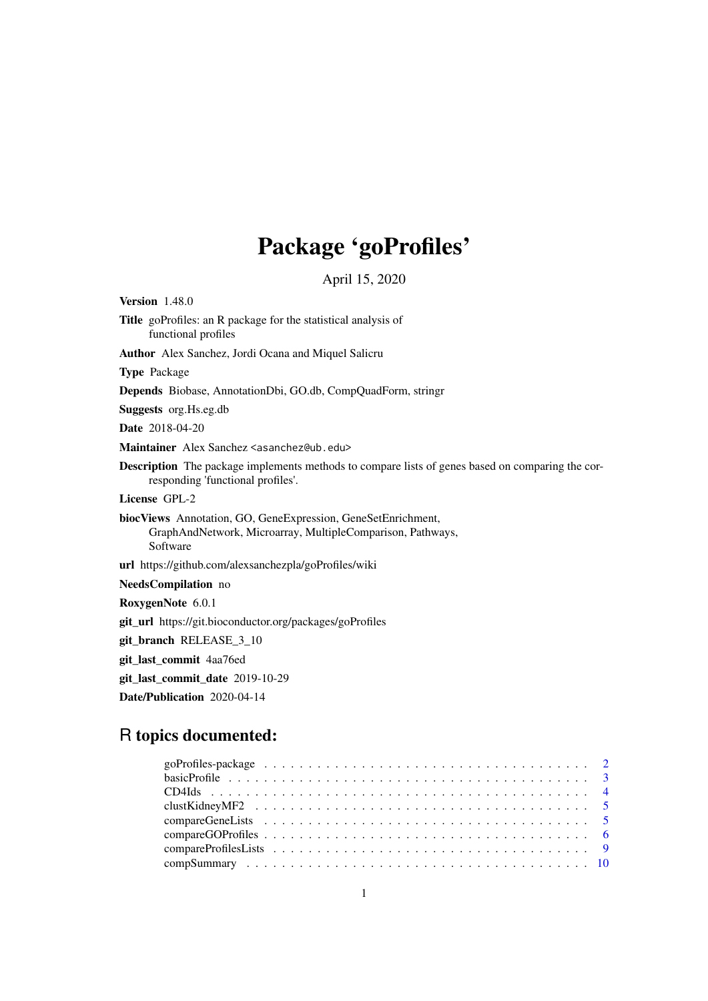## Package 'goProfiles'

April 15, 2020

Version 1.48.0 Title goProfiles: an R package for the statistical analysis of functional profiles Author Alex Sanchez, Jordi Ocana and Miquel Salicru Type Package Depends Biobase, AnnotationDbi, GO.db, CompQuadForm, stringr Suggests org.Hs.eg.db Date 2018-04-20 Maintainer Alex Sanchez <asanchez@ub.edu> Description The package implements methods to compare lists of genes based on comparing the corresponding 'functional profiles'. License GPL-2 biocViews Annotation, GO, GeneExpression, GeneSetEnrichment, GraphAndNetwork, Microarray, MultipleComparison, Pathways, Software url https://github.com/alexsanchezpla/goProfiles/wiki NeedsCompilation no RoxygenNote 6.0.1 git\_url https://git.bioconductor.org/packages/goProfiles git\_branch RELEASE\_3\_10 git\_last\_commit 4aa76ed git\_last\_commit\_date 2019-10-29 Date/Publication 2020-04-14

## R topics documented: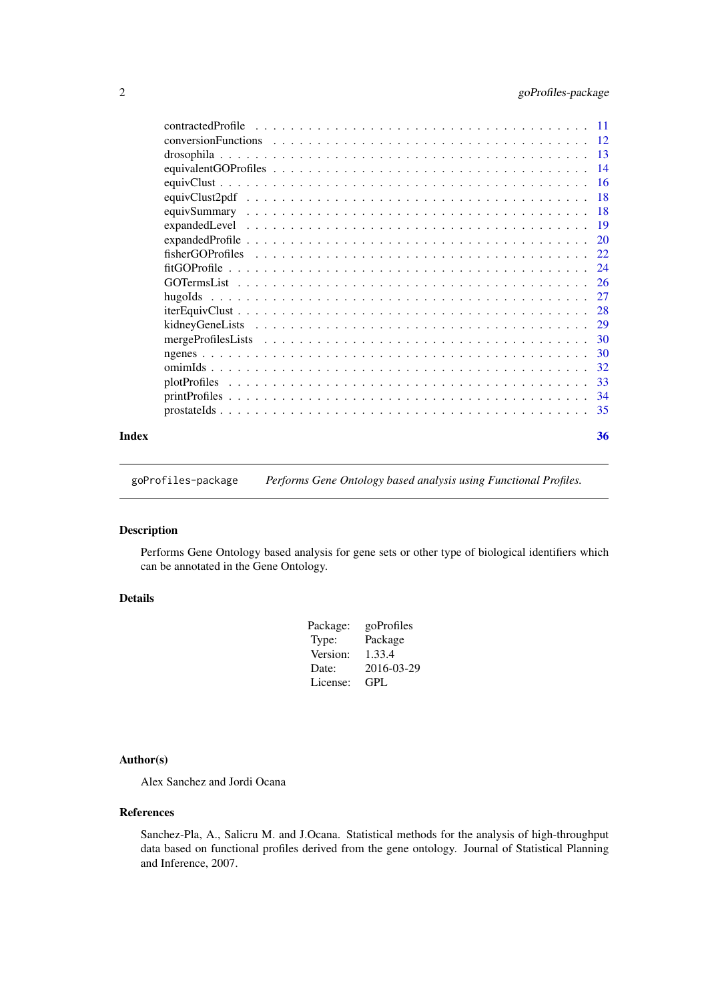<span id="page-1-0"></span>

| Index | 36 |
|-------|----|

goProfiles-package *Performs Gene Ontology based analysis using Functional Profiles.*

## Description

Performs Gene Ontology based analysis for gene sets or other type of biological identifiers which can be annotated in the Gene Ontology.

#### Details

| Package: | goProfiles |
|----------|------------|
| Type:    | Package    |
| Version: | 1.33.4     |
| Date:    | 2016-03-29 |
| License: | GPL        |

## Author(s)

Alex Sanchez and Jordi Ocana

## References

Sanchez-Pla, A., Salicru M. and J.Ocana. Statistical methods for the analysis of high-throughput data based on functional profiles derived from the gene ontology. Journal of Statistical Planning and Inference, 2007.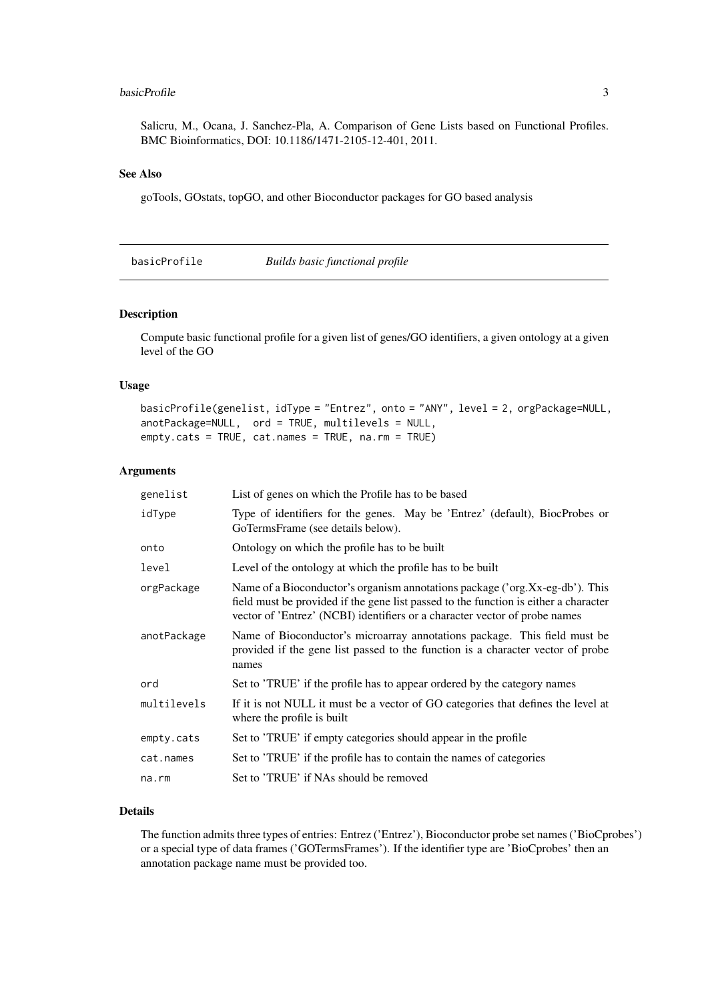#### <span id="page-2-0"></span>basicProfile 3

Salicru, M., Ocana, J. Sanchez-Pla, A. Comparison of Gene Lists based on Functional Profiles. BMC Bioinformatics, DOI: 10.1186/1471-2105-12-401, 2011.

## See Also

goTools, GOstats, topGO, and other Bioconductor packages for GO based analysis

<span id="page-2-1"></span>basicProfile *Builds basic functional profile*

#### Description

Compute basic functional profile for a given list of genes/GO identifiers, a given ontology at a given level of the GO

## Usage

```
basicProfile(genelist, idType = "Entrez", onto = "ANY", level = 2, orgPackage=NULL,
anotPackage=NULL, ord = TRUE, multilevels = NULL,
empty.cats = TRUE, cat.names = TRUE, na.rm = TRUE)
```
## Arguments

| genelist    | List of genes on which the Profile has to be based                                                                                                                                                                                                 |
|-------------|----------------------------------------------------------------------------------------------------------------------------------------------------------------------------------------------------------------------------------------------------|
| idType      | Type of identifiers for the genes. May be 'Entrez' (default), BiocProbes or<br>GoTermsFrame (see details below).                                                                                                                                   |
| onto        | Ontology on which the profile has to be built                                                                                                                                                                                                      |
| level       | Level of the ontology at which the profile has to be built                                                                                                                                                                                         |
| orgPackage  | Name of a Bioconductor's organism annotations package ('org.Xx-eg-db'). This<br>field must be provided if the gene list passed to the function is either a character<br>vector of 'Entrez' (NCBI) identifiers or a character vector of probe names |
| anotPackage | Name of Bioconductor's microarray annotations package. This field must be<br>provided if the gene list passed to the function is a character vector of probe<br>names                                                                              |
| ord         | Set to 'TRUE' if the profile has to appear ordered by the category names                                                                                                                                                                           |
| multilevels | If it is not NULL it must be a vector of GO categories that defines the level at<br>where the profile is built                                                                                                                                     |
| empty.cats  | Set to 'TRUE' if empty categories should appear in the profile                                                                                                                                                                                     |
| cat.names   | Set to 'TRUE' if the profile has to contain the names of categories                                                                                                                                                                                |
| $na$ . $rm$ | Set to 'TRUE' if NAs should be removed                                                                                                                                                                                                             |

## Details

The function admits three types of entries: Entrez ('Entrez'), Bioconductor probe set names ('BioCprobes') or a special type of data frames ('GOTermsFrames'). If the identifier type are 'BioCprobes' then an annotation package name must be provided too.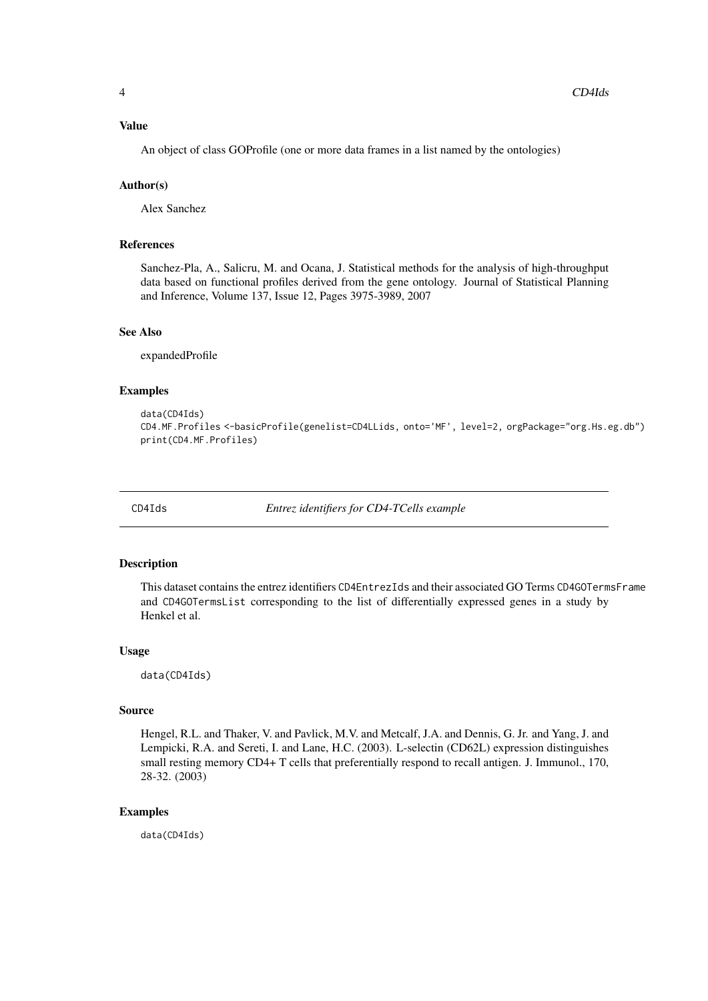#### <span id="page-3-0"></span>Value

An object of class GOProfile (one or more data frames in a list named by the ontologies)

#### Author(s)

Alex Sanchez

## References

Sanchez-Pla, A., Salicru, M. and Ocana, J. Statistical methods for the analysis of high-throughput data based on functional profiles derived from the gene ontology. Journal of Statistical Planning and Inference, Volume 137, Issue 12, Pages 3975-3989, 2007

## See Also

expandedProfile

## Examples

```
data(CD4Ids)
CD4.MF.Profiles <-basicProfile(genelist=CD4LLids, onto='MF', level=2, orgPackage="org.Hs.eg.db")
print(CD4.MF.Profiles)
```
CD4Ids *Entrez identifiers for CD4-TCells example*

#### Description

This dataset contains the entrez identifiers CD4EntrezIds and their associated GO Terms CD4GOTermsFrame and CD4GOTermsList corresponding to the list of differentially expressed genes in a study by Henkel et al.

## Usage

data(CD4Ids)

#### Source

Hengel, R.L. and Thaker, V. and Pavlick, M.V. and Metcalf, J.A. and Dennis, G. Jr. and Yang, J. and Lempicki, R.A. and Sereti, I. and Lane, H.C. (2003). L-selectin (CD62L) expression distinguishes small resting memory CD4+ T cells that preferentially respond to recall antigen. J. Immunol., 170, 28-32. (2003)

## Examples

data(CD4Ids)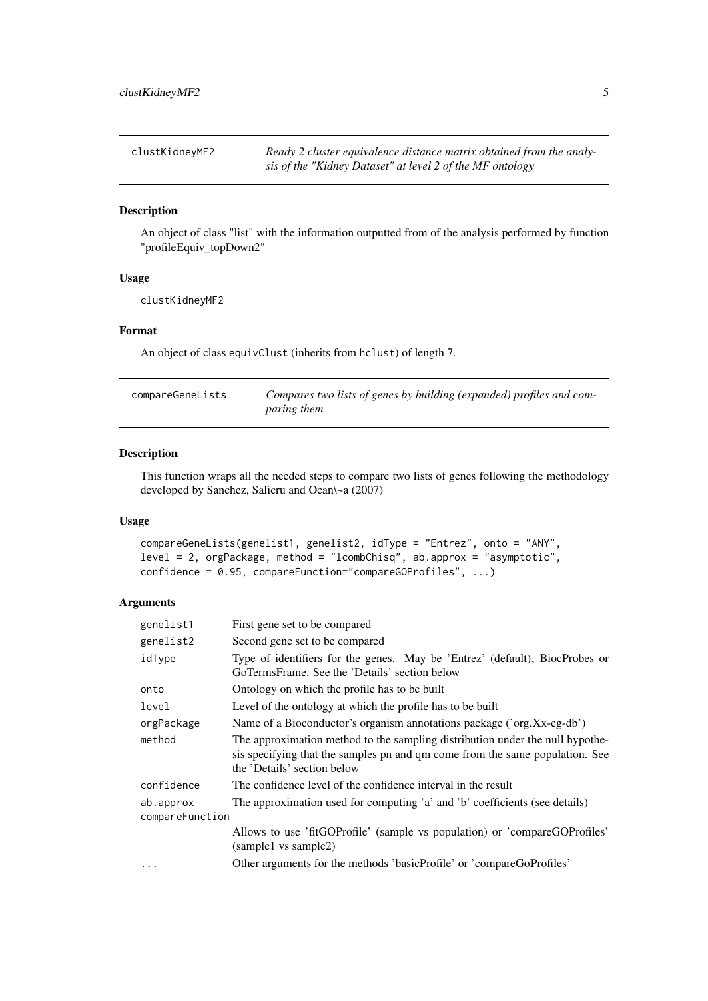<span id="page-4-0"></span>

| clustKidneyMF2 | Ready 2 cluster equivalence distance matrix obtained from the analy- |
|----------------|----------------------------------------------------------------------|
|                | sis of the "Kidney Dataset" at level 2 of the MF ontology            |

## Description

An object of class "list" with the information outputted from of the analysis performed by function "profileEquiv\_topDown2"

## Usage

clustKidneyMF2

## Format

An object of class equivClust (inherits from hclust) of length 7.

<span id="page-4-1"></span>

| compareGeneLists | Compares two lists of genes by building (expanded) profiles and com- |
|------------------|----------------------------------------------------------------------|
|                  | <i>paring them</i>                                                   |

## Description

This function wraps all the needed steps to compare two lists of genes following the methodology developed by Sanchez, Salicru and Ocan\~a (2007)

## Usage

```
compareGeneLists(genelist1, genelist2, idType = "Entrez", onto = "ANY",
level = 2, orgPackage, method = "lcombChisq", ab.approx = "asymptotic",
confidence = 0.95, compareFunction="compareGOProfiles", ...)
```

| genelist1                    | First gene set to be compared                                                                                                                                                                |
|------------------------------|----------------------------------------------------------------------------------------------------------------------------------------------------------------------------------------------|
| genelist2                    | Second gene set to be compared                                                                                                                                                               |
| idType                       | Type of identifiers for the genes. May be 'Entrez' (default), BiocProbes or<br>GoTermsFrame. See the 'Details' section below                                                                 |
| onto                         | Ontology on which the profile has to be built                                                                                                                                                |
| level                        | Level of the ontology at which the profile has to be built                                                                                                                                   |
| orgPackage                   | Name of a Bioconductor's organism annotations package ('org.Xx-eg-db')                                                                                                                       |
| method                       | The approximation method to the sampling distribution under the null hypothe-<br>sis specifying that the samples pn and qm come from the same population. See<br>the 'Details' section below |
| confidence                   | The confidence level of the confidence interval in the result                                                                                                                                |
| ab.approx<br>compareFunction | The approximation used for computing 'a' and 'b' coefficients (see details)                                                                                                                  |
|                              | Allows to use 'fitGOProfile' (sample vs population) or 'compareGOProfiles'<br>(sample1 vs sample2)                                                                                           |
|                              | Other arguments for the methods 'basicProfile' or 'compareGoProfiles'                                                                                                                        |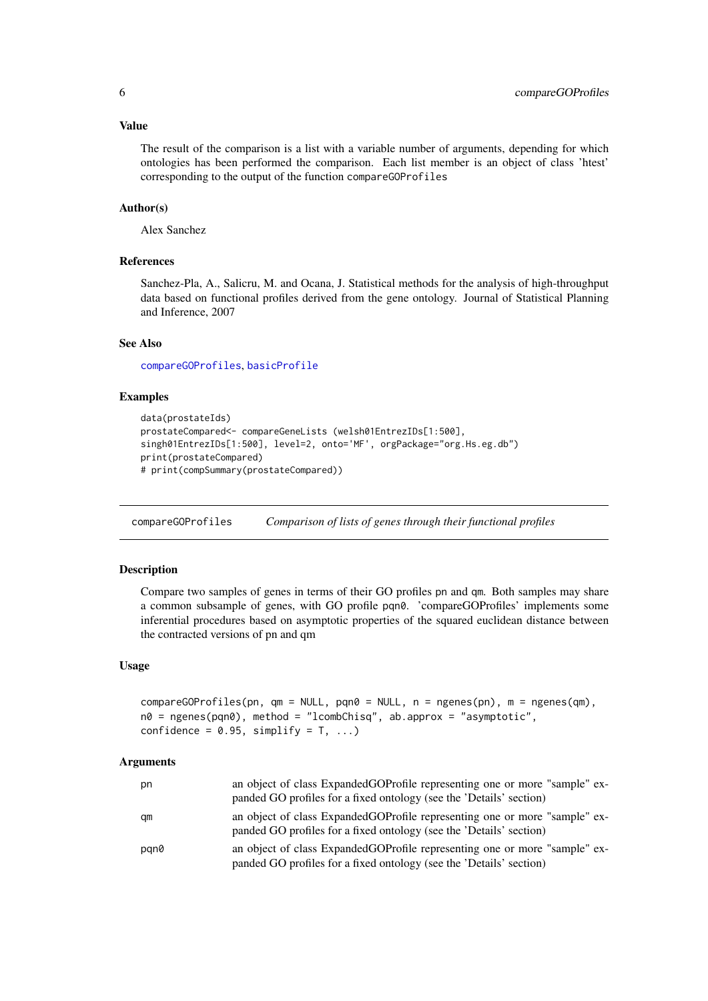#### <span id="page-5-0"></span>Value

The result of the comparison is a list with a variable number of arguments, depending for which ontologies has been performed the comparison. Each list member is an object of class 'htest' corresponding to the output of the function compareGOProfiles

#### Author(s)

Alex Sanchez

## References

Sanchez-Pla, A., Salicru, M. and Ocana, J. Statistical methods for the analysis of high-throughput data based on functional profiles derived from the gene ontology. Journal of Statistical Planning and Inference, 2007

## See Also

[compareGOProfiles](#page-5-1), [basicProfile](#page-2-1)

## Examples

```
data(prostateIds)
prostateCompared<- compareGeneLists (welsh01EntrezIDs[1:500],
singh01EntrezIDs[1:500], level=2, onto='MF', orgPackage="org.Hs.eg.db")
print(prostateCompared)
# print(compSummary(prostateCompared))
```
<span id="page-5-1"></span>compareGOProfiles *Comparison of lists of genes through their functional profiles*

## Description

Compare two samples of genes in terms of their GO profiles pn and qm. Both samples may share a common subsample of genes, with GO profile pqn0. 'compareGOProfiles' implements some inferential procedures based on asymptotic properties of the squared euclidean distance between the contracted versions of pn and qm

#### Usage

```
compareGOProfiles(pn, qm = NULL, pqn0 = NULL, n = ngenes(pn), m = ngenes(qm),
n\theta = ngenes(pqn\theta), method = "lcombChisq", ab.approx = "asymptotic",
confidence = 0.95, simplify = T, ...)
```

| pn   | an object of class ExpandedGOProfile representing one or more "sample" ex-<br>panded GO profiles for a fixed ontology (see the 'Details' section) |
|------|---------------------------------------------------------------------------------------------------------------------------------------------------|
| qm   | an object of class ExpandedGOProfile representing one or more "sample" ex-<br>panded GO profiles for a fixed ontology (see the 'Details' section) |
| pgn0 | an object of class ExpandedGOProfile representing one or more "sample" ex-<br>panded GO profiles for a fixed ontology (see the 'Details' section) |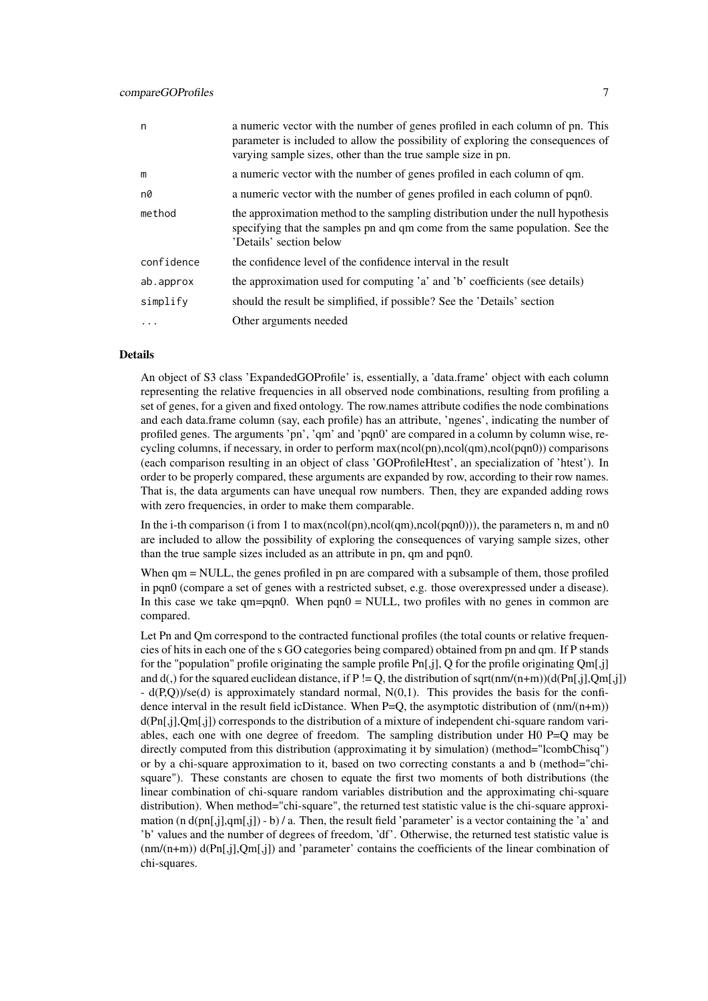#### compareGOProfiles 7

| n,         | a numeric vector with the number of genes profiled in each column of pn. This<br>parameter is included to allow the possibility of exploring the consequences of<br>varying sample sizes, other than the true sample size in pn. |
|------------|----------------------------------------------------------------------------------------------------------------------------------------------------------------------------------------------------------------------------------|
| m          | a numeric vector with the number of genes profiled in each column of qm.                                                                                                                                                         |
| n0         | a numeric vector with the number of genes profiled in each column of pqn0.                                                                                                                                                       |
| method     | the approximation method to the sampling distribution under the null hypothesis<br>specifying that the samples pn and qm come from the same population. See the<br>'Details' section below                                       |
| confidence | the confidence level of the confidence interval in the result                                                                                                                                                                    |
| ab.approx  | the approximation used for computing 'a' and 'b' coefficients (see details)                                                                                                                                                      |
| simplify   | should the result be simplified, if possible? See the 'Details' section                                                                                                                                                          |
| $\cdots$   | Other arguments needed                                                                                                                                                                                                           |

#### Details

An object of S3 class 'ExpandedGOProfile' is, essentially, a 'data.frame' object with each column representing the relative frequencies in all observed node combinations, resulting from profiling a set of genes, for a given and fixed ontology. The row.names attribute codifies the node combinations and each data.frame column (say, each profile) has an attribute, 'ngenes', indicating the number of profiled genes. The arguments 'pn', 'qm' and 'pqn0' are compared in a column by column wise, recycling columns, if necessary, in order to perform max(ncol(pn),ncol(qm),ncol(pqn0)) comparisons (each comparison resulting in an object of class 'GOProfileHtest', an specialization of 'htest'). In order to be properly compared, these arguments are expanded by row, according to their row names. That is, the data arguments can have unequal row numbers. Then, they are expanded adding rows with zero frequencies, in order to make them comparable.

In the i-th comparison (i from 1 to  $max(ncol(pn),ncol(qm),ncol(pqn0))$ ), the parameters n, m and n0 are included to allow the possibility of exploring the consequences of varying sample sizes, other than the true sample sizes included as an attribute in pn, qm and pqn0.

When  $qm = NULL$ , the genes profiled in pn are compared with a subsample of them, those profiled in pqn0 (compare a set of genes with a restricted subset, e.g. those overexpressed under a disease). In this case we take qm=pqn0. When pqn0 = NULL, two profiles with no genes in common are compared.

Let Pn and Qm correspond to the contracted functional profiles (the total counts or relative frequencies of hits in each one of the s GO categories being compared) obtained from pn and qm. If P stands for the "population" profile originating the sample profile Pn[,j], Q for the profile originating Qm[,j] and d(,) for the squared euclidean distance, if P != Q, the distribution of sqrt(nm/(n+m))(d(Pn[,j],Qm[,j]) - d(P,Q))/se(d) is approximately standard normal, N(0,1). This provides the basis for the confidence interval in the result field icDistance. When  $P=Q$ , the asymptotic distribution of  $(nm/(n+m))$  $d(Pn[j],Qm[j])$  corresponds to the distribution of a mixture of independent chi-square random variables, each one with one degree of freedom. The sampling distribution under H0 P=Q may be directly computed from this distribution (approximating it by simulation) (method="lcombChisq") or by a chi-square approximation to it, based on two correcting constants a and b (method="chisquare"). These constants are chosen to equate the first two moments of both distributions (the linear combination of chi-square random variables distribution and the approximating chi-square distribution). When method="chi-square", the returned test statistic value is the chi-square approximation  $(n d(pn[j], qm[j])) - b$  / a. Then, the result field 'parameter' is a vector containing the 'a' and 'b' values and the number of degrees of freedom, 'df'. Otherwise, the returned test statistic value is  $(nm/(n+m))$  d(Pn[,j],Qm[,j]) and 'parameter' contains the coefficients of the linear combination of chi-squares.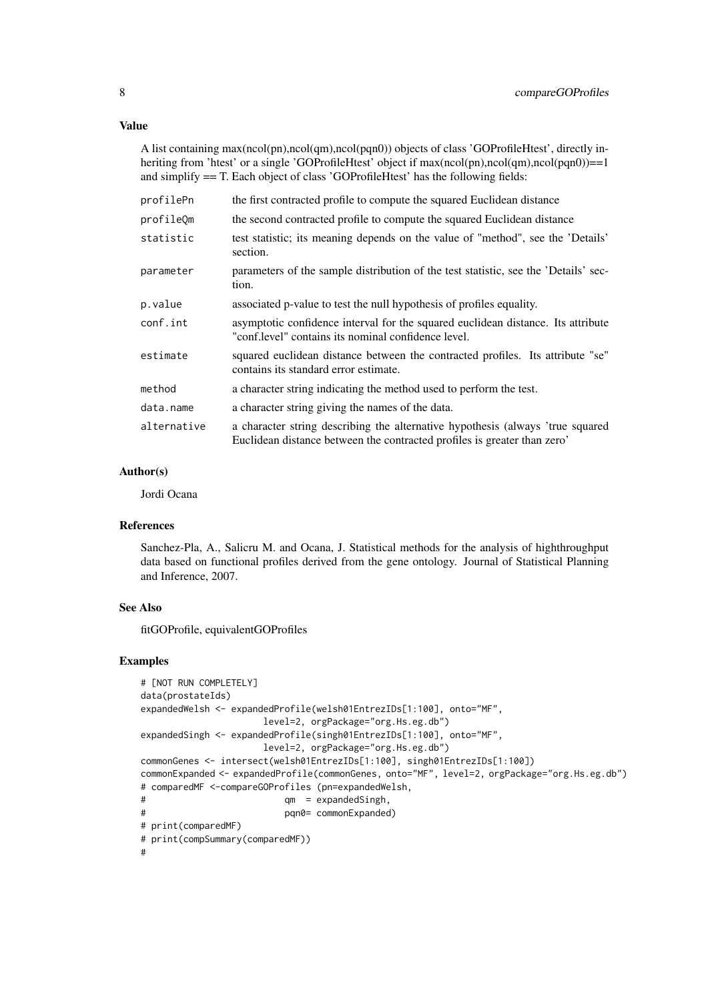A list containing max(ncol(pn),ncol(qm),ncol(pqn0)) objects of class 'GOProfileHtest', directly inheriting from 'htest' or a single 'GOProfileHtest' object if max(ncol(pn),ncol(qm),ncol(pqn0))==1 and simplify == T. Each object of class 'GOProfileHtest' has the following fields:

| profilePn   | the first contracted profile to compute the squared Euclidean distance                                                                                     |
|-------------|------------------------------------------------------------------------------------------------------------------------------------------------------------|
| profileOm   | the second contracted profile to compute the squared Euclidean distance                                                                                    |
| statistic   | test statistic; its meaning depends on the value of "method", see the 'Details'<br>section.                                                                |
| parameter   | parameters of the sample distribution of the test statistic, see the 'Details' sec-<br>tion.                                                               |
| p.value     | associated p-value to test the null hypothesis of profiles equality.                                                                                       |
| conf.int    | asymptotic confidence interval for the squared euclidean distance. Its attribute<br>"conf.level" contains its nominal confidence level.                    |
| estimate    | squared euclidean distance between the contracted profiles. Its attribute "se"<br>contains its standard error estimate.                                    |
| method      | a character string indicating the method used to perform the test.                                                                                         |
| data.name   | a character string giving the names of the data.                                                                                                           |
| alternative | a character string describing the alternative hypothesis (always 'true squared<br>Euclidean distance between the contracted profiles is greater than zero' |

#### Author(s)

Jordi Ocana

#### References

Sanchez-Pla, A., Salicru M. and Ocana, J. Statistical methods for the analysis of highthroughput data based on functional profiles derived from the gene ontology. Journal of Statistical Planning and Inference, 2007.

## See Also

fitGOProfile, equivalentGOProfiles

#### Examples

```
# [NOT RUN COMPLETELY]
data(prostateIds)
expandedWelsh <- expandedProfile(welsh01EntrezIDs[1:100], onto="MF",
                     level=2, orgPackage="org.Hs.eg.db")
expandedSingh <- expandedProfile(singh01EntrezIDs[1:100], onto="MF",
                     level=2, orgPackage="org.Hs.eg.db")
commonGenes <- intersect(welsh01EntrezIDs[1:100], singh01EntrezIDs[1:100])
commonExpanded <- expandedProfile(commonGenes, onto="MF", level=2, orgPackage="org.Hs.eg.db")
# comparedMF <-compareGOProfiles (pn=expandedWelsh,
# qm = expandedSingh,
# pqn0= commonExpanded)
# print(comparedMF)
# print(compSummary(comparedMF))
#
```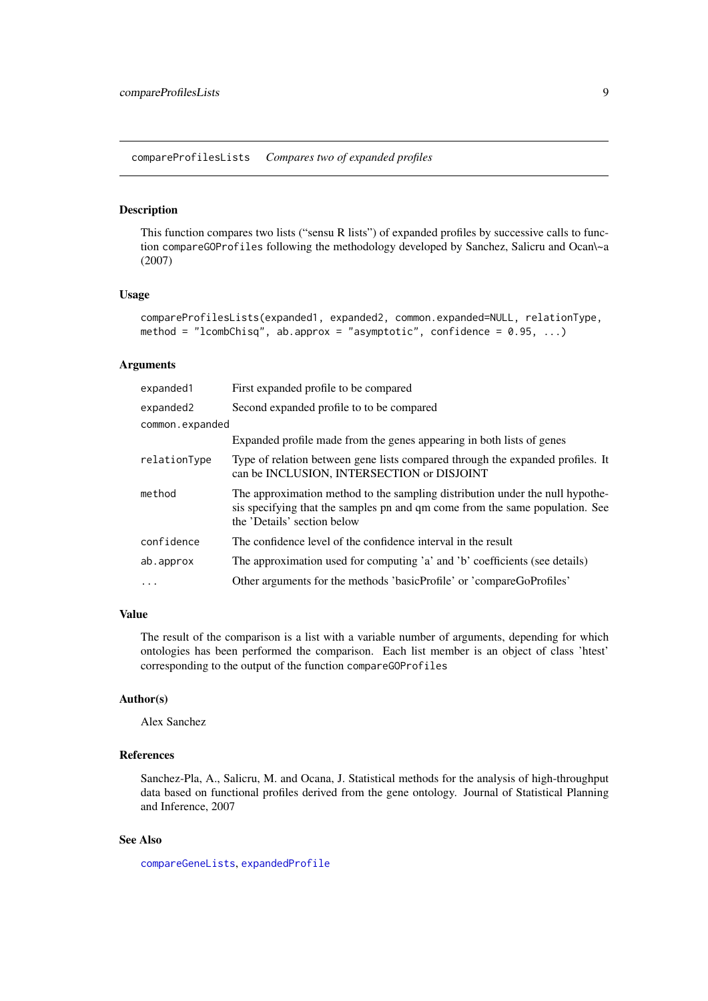<span id="page-8-0"></span>compareProfilesLists *Compares two of expanded profiles*

#### Description

This function compares two lists ("sensu R lists") of expanded profiles by successive calls to function compareGOProfiles following the methodology developed by Sanchez, Salicru and Ocan\~a (2007)

## Usage

```
compareProfilesLists(expanded1, expanded2, common.expanded=NULL, relationType,
method = "lcombChisq", ab.approx = "asymptotic", confidence = 0.95, ...)
```
#### Arguments

| expanded1       | First expanded profile to be compared                                                                                                                                                        |
|-----------------|----------------------------------------------------------------------------------------------------------------------------------------------------------------------------------------------|
| expanded2       | Second expanded profile to to be compared                                                                                                                                                    |
| common.expanded |                                                                                                                                                                                              |
|                 | Expanded profile made from the genes appearing in both lists of genes                                                                                                                        |
| relationType    | Type of relation between gene lists compared through the expanded profiles. It<br>can be INCLUSION, INTERSECTION or DISJOINT                                                                 |
| method          | The approximation method to the sampling distribution under the null hypothe-<br>sis specifying that the samples pn and qm come from the same population. See<br>the 'Details' section below |
| confidence      | The confidence level of the confidence interval in the result                                                                                                                                |
| ab.approx       | The approximation used for computing 'a' and 'b' coefficients (see details)                                                                                                                  |
|                 | Other arguments for the methods 'basicProfile' or 'compareGoProfiles'                                                                                                                        |

## Value

The result of the comparison is a list with a variable number of arguments, depending for which ontologies has been performed the comparison. Each list member is an object of class 'htest' corresponding to the output of the function compareGOProfiles

#### Author(s)

Alex Sanchez

## References

Sanchez-Pla, A., Salicru, M. and Ocana, J. Statistical methods for the analysis of high-throughput data based on functional profiles derived from the gene ontology. Journal of Statistical Planning and Inference, 2007

## See Also

[compareGeneLists](#page-4-1), [expandedProfile](#page-19-1)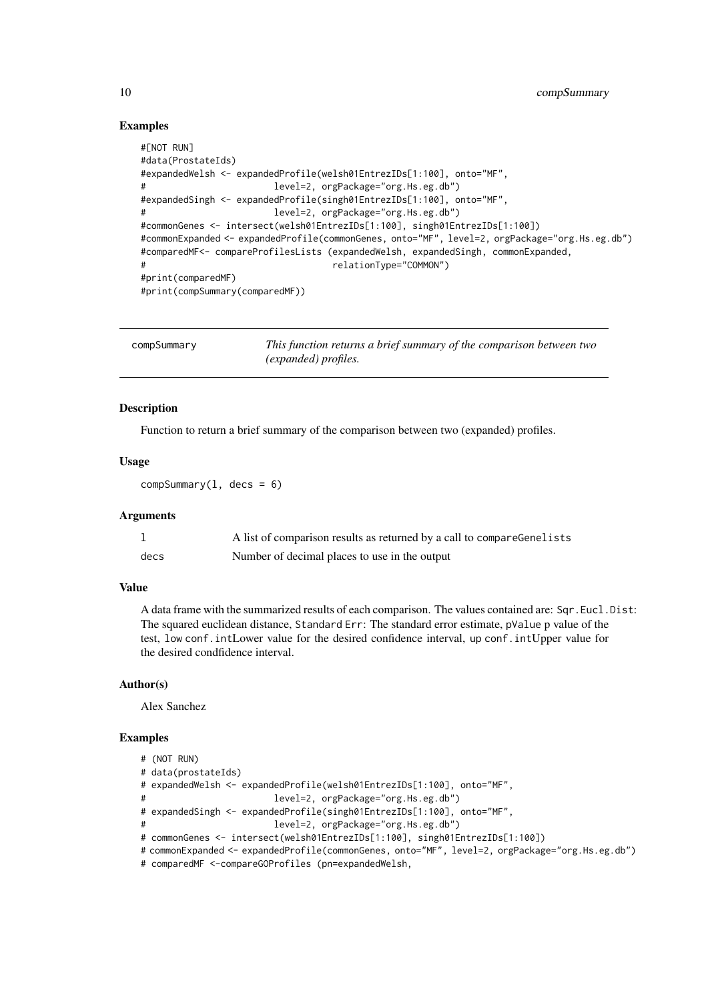## Examples

```
#[NOT RUN]
#data(ProstateIds)
#expandedWelsh <- expandedProfile(welsh01EntrezIDs[1:100], onto="MF",
                       level=2, orgPackage="org.Hs.eg.db")
#expandedSingh <- expandedProfile(singh01EntrezIDs[1:100], onto="MF",
                       level=2, orgPackage="org.Hs.eg.db")
#commonGenes <- intersect(welsh01EntrezIDs[1:100], singh01EntrezIDs[1:100])
#commonExpanded <- expandedProfile(commonGenes, onto="MF", level=2, orgPackage="org.Hs.eg.db")
#comparedMF<- compareProfilesLists (expandedWelsh, expandedSingh, commonExpanded,
# relationType="COMMON")
#print(comparedMF)
#print(compSummary(comparedMF))
```

| compSummary | This function returns a brief summary of the comparison between two |
|-------------|---------------------------------------------------------------------|
|             | <i>(expanded)</i> profiles.                                         |

#### Description

Function to return a brief summary of the comparison between two (expanded) profiles.

## Usage

 $compSummary(1, decs = 6)$ 

#### Arguments

|      | A list of comparison results as returned by a call to compareGenelists |
|------|------------------------------------------------------------------------|
| decs | Number of decimal places to use in the output                          |

## Value

A data frame with the summarized results of each comparison. The values contained are: Sqr.Eucl.Dist: The squared euclidean distance, Standard Err: The standard error estimate, pValue p value of the test, low conf.intLower value for the desired confidence interval, up conf.intUpper value for the desired condfidence interval.

#### Author(s)

Alex Sanchez

## Examples

```
# (NOT RUN)
# data(prostateIds)
# expandedWelsh <- expandedProfile(welsh01EntrezIDs[1:100], onto="MF",
# level=2, orgPackage="org.Hs.eg.db")
# expandedSingh <- expandedProfile(singh01EntrezIDs[1:100], onto="MF",
# level=2, orgPackage="org.Hs.eg.db")
# commonGenes <- intersect(welsh01EntrezIDs[1:100], singh01EntrezIDs[1:100])
# commonExpanded <- expandedProfile(commonGenes, onto="MF", level=2, orgPackage="org.Hs.eg.db")
# comparedMF <-compareGOProfiles (pn=expandedWelsh,
```
<span id="page-9-0"></span>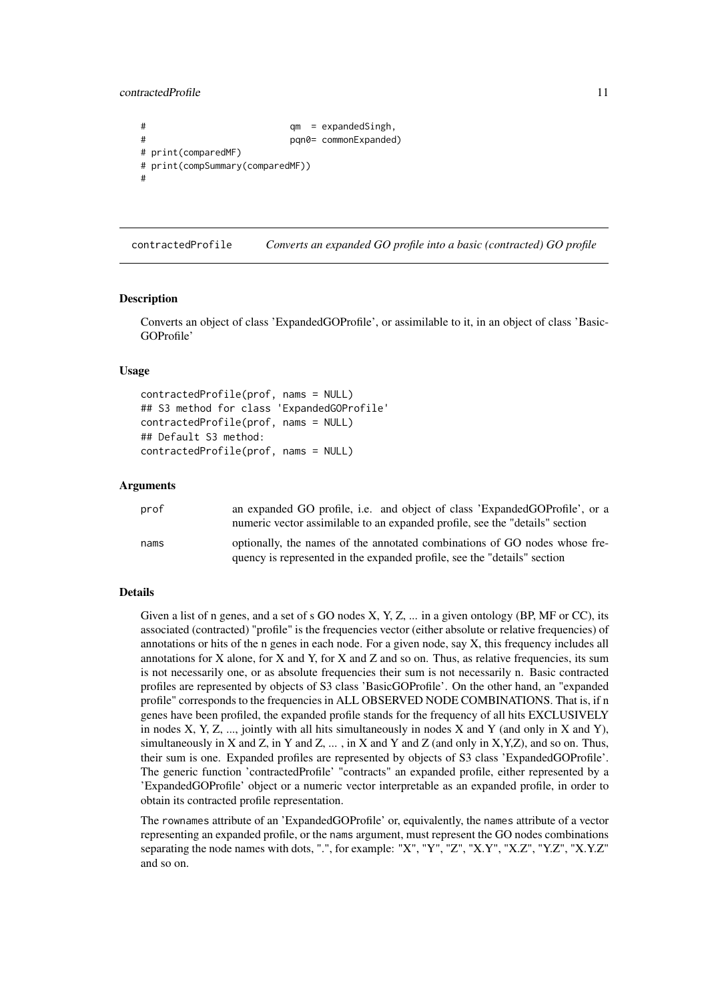<span id="page-10-0"></span>contractedProfile 11

```
# qm = expandedSingh,
# pqn0= commonExpanded)
# print(comparedMF)
# print(compSummary(comparedMF))
#
```
contractedProfile *Converts an expanded GO profile into a basic (contracted) GO profile*

#### Description

Converts an object of class 'ExpandedGOProfile', or assimilable to it, in an object of class 'Basic-GOProfile'

## Usage

```
contractedProfile(prof, nams = NULL)
## S3 method for class 'ExpandedGOProfile'
contractedProfile(prof, nams = NULL)
## Default S3 method:
contractedProfile(prof, nams = NULL)
```
#### Arguments

| prof | an expanded GO profile, i.e. and object of class 'ExpandedGOProfile', or a<br>numeric vector assimilable to an expanded profile, see the "details" section |
|------|------------------------------------------------------------------------------------------------------------------------------------------------------------|
| nams | optionally, the names of the annotated combinations of GO nodes whose fre-<br>quency is represented in the expanded profile, see the "details" section     |

#### Details

Given a list of n genes, and a set of s GO nodes X, Y, Z, ... in a given ontology (BP, MF or CC), its associated (contracted) "profile" is the frequencies vector (either absolute or relative frequencies) of annotations or hits of the n genes in each node. For a given node, say X, this frequency includes all annotations for X alone, for X and Y, for X and Z and so on. Thus, as relative frequencies, its sum is not necessarily one, or as absolute frequencies their sum is not necessarily n. Basic contracted profiles are represented by objects of S3 class 'BasicGOProfile'. On the other hand, an "expanded profile" corresponds to the frequencies in ALL OBSERVED NODE COMBINATIONS. That is, if n genes have been profiled, the expanded profile stands for the frequency of all hits EXCLUSIVELY in nodes  $X, Y, Z, \ldots$ , jointly with all hits simultaneously in nodes  $X$  and  $Y$  (and only in  $X$  and  $Y$ ), simultaneously in X and Z, in Y and Z, ..., in X and Y and Z (and only in X,Y,Z), and so on. Thus, their sum is one. Expanded profiles are represented by objects of S3 class 'ExpandedGOProfile'. The generic function 'contractedProfile' "contracts" an expanded profile, either represented by a 'ExpandedGOProfile' object or a numeric vector interpretable as an expanded profile, in order to obtain its contracted profile representation.

The rownames attribute of an 'ExpandedGOProfile' or, equivalently, the names attribute of a vector representing an expanded profile, or the nams argument, must represent the GO nodes combinations separating the node names with dots, ".", for example: "X", "Y", "Z", "X.Y", "X.Z", "Y.Z", "X.Y.Z" and so on.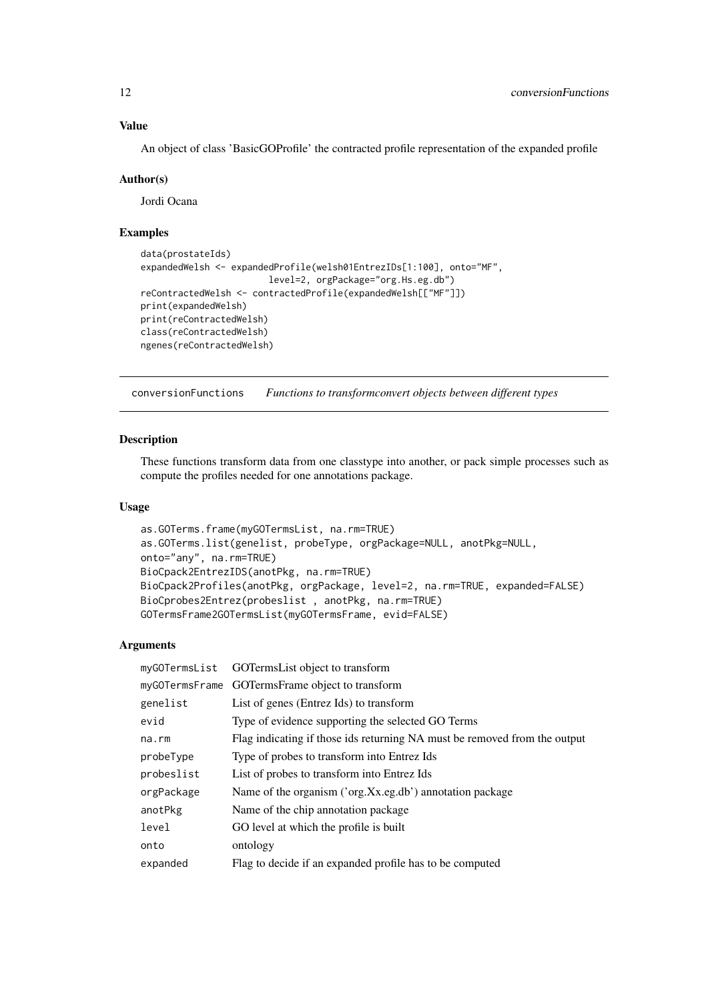## Value

An object of class 'BasicGOProfile' the contracted profile representation of the expanded profile

#### Author(s)

Jordi Ocana

## Examples

```
data(prostateIds)
expandedWelsh <- expandedProfile(welsh01EntrezIDs[1:100], onto="MF",
                        level=2, orgPackage="org.Hs.eg.db")
reContractedWelsh <- contractedProfile(expandedWelsh[["MF"]])
print(expandedWelsh)
print(reContractedWelsh)
class(reContractedWelsh)
ngenes(reContractedWelsh)
```
conversionFunctions *Functions to transformconvert objects between different types*

## Description

These functions transform data from one classtype into another, or pack simple processes such as compute the profiles needed for one annotations package.

### Usage

```
as.GOTerms.frame(myGOTermsList, na.rm=TRUE)
as.GOTerms.list(genelist, probeType, orgPackage=NULL, anotPkg=NULL,
onto="any", na.rm=TRUE)
BioCpack2EntrezIDS(anotPkg, na.rm=TRUE)
BioCpack2Profiles(anotPkg, orgPackage, level=2, na.rm=TRUE, expanded=FALSE)
BioCprobes2Entrez(probeslist , anotPkg, na.rm=TRUE)
GOTermsFrame2GOTermsList(myGOTermsFrame, evid=FALSE)
```

|            | myGOTermsList GOTermsList object to transform                             |
|------------|---------------------------------------------------------------------------|
|            | myGOTermsFrame GOTermsFrame object to transform                           |
| genelist   | List of genes (Entrez Ids) to transform                                   |
| evid       | Type of evidence supporting the selected GO Terms                         |
| na.rm      | Flag indicating if those ids returning NA must be removed from the output |
| probeType  | Type of probes to transform into Entrez Ids                               |
| probeslist | List of probes to transform into Entrez Ids                               |
| orgPackage | Name of the organism ('org.Xx.eg.db') annotation package                  |
| anotPkg    | Name of the chip annotation package.                                      |
| level      | GO level at which the profile is built                                    |
| onto       | ontology                                                                  |
| expanded   | Flag to decide if an expanded profile has to be computed                  |
|            |                                                                           |

<span id="page-11-0"></span>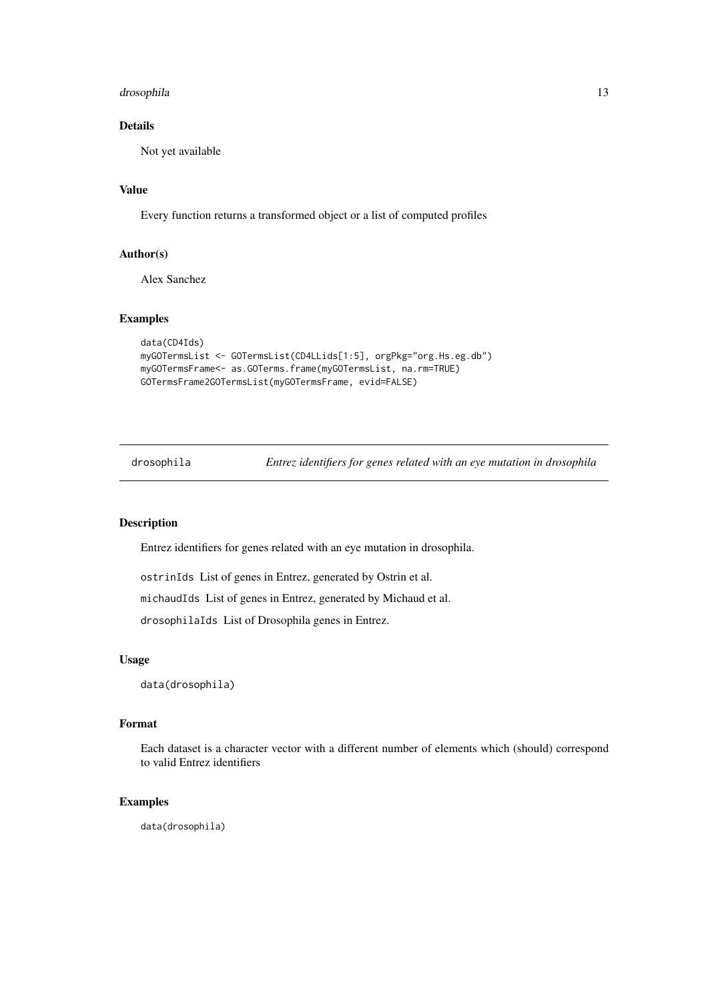#### <span id="page-12-0"></span>drosophila that a state of the state of the state of the state of the state of the state of the state of the state of the state of the state of the state of the state of the state of the state of the state of the state of

## Details

Not yet available

## Value

Every function returns a transformed object or a list of computed profiles

## Author(s)

Alex Sanchez

## Examples

```
data(CD4Ids)
myGOTermsList <- GOTermsList(CD4LLids[1:5], orgPkg="org.Hs.eg.db")
myGOTermsFrame<- as.GOTerms.frame(myGOTermsList, na.rm=TRUE)
GOTermsFrame2GOTermsList(myGOTermsFrame, evid=FALSE)
```
drosophila *Entrez identifiers for genes related with an eye mutation in drosophila*

#### Description

Entrez identifiers for genes related with an eye mutation in drosophila.

ostrinIds List of genes in Entrez, generated by Ostrin et al.

michaudIds List of genes in Entrez, generated by Michaud et al.

drosophilaIds List of Drosophila genes in Entrez.

## Usage

data(drosophila)

## Format

Each dataset is a character vector with a different number of elements which (should) correspond to valid Entrez identifiers

## Examples

data(drosophila)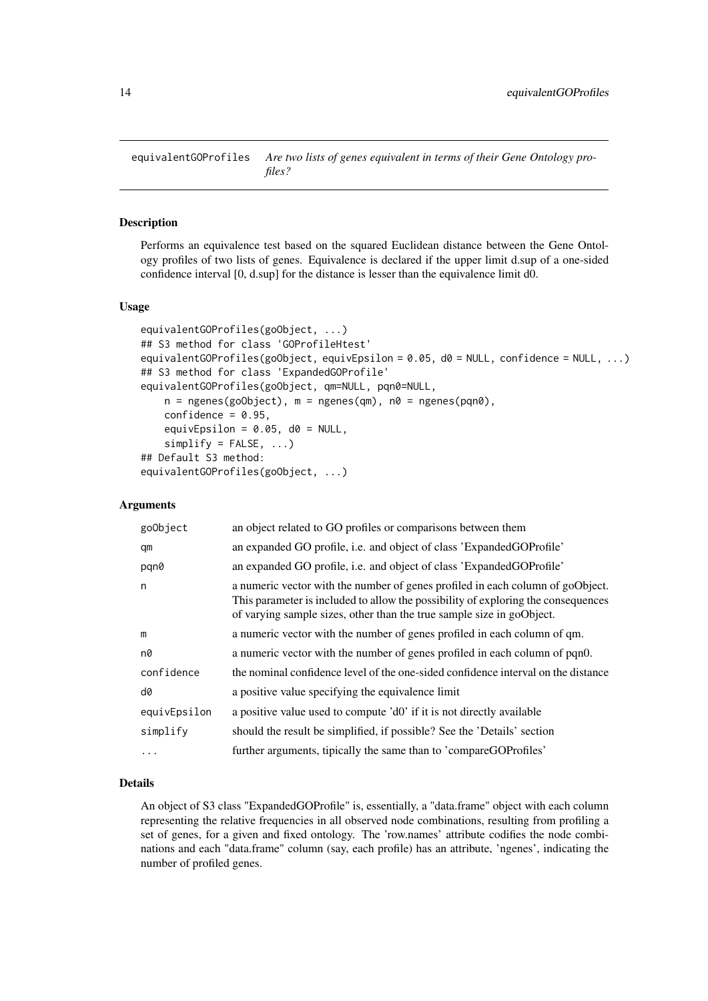<span id="page-13-0"></span>equivalentGOProfiles *Are two lists of genes equivalent in terms of their Gene Ontology profiles?*

#### Description

Performs an equivalence test based on the squared Euclidean distance between the Gene Ontology profiles of two lists of genes. Equivalence is declared if the upper limit d.sup of a one-sided confidence interval [0, d.sup] for the distance is lesser than the equivalence limit d0.

## Usage

```
equivalentGOProfiles(goObject, ...)
## S3 method for class 'GOProfileHtest'
equivalentGOProfiles(goObject, equivEpsilon = 0.05, d0 = NULL, confidence = NULL, ...)
## S3 method for class 'ExpandedGOProfile'
equivalentGOProfiles(goObject, qm=NULL, pqn0=NULL,
    n = ngenes(goObject), m = ngenes(qm), n0 = ngenes(pqn0),
    confidence = 0.95,
    equivEpsilon = 0.05, d0 = NULL,
    simplify = FALSE, ...)## Default S3 method:
equivalentGOProfiles(goObject, ...)
```
#### Arguments

| goObject     | an object related to GO profiles or comparisons between them                                                                                                                                                                                 |
|--------------|----------------------------------------------------------------------------------------------------------------------------------------------------------------------------------------------------------------------------------------------|
| qm           | an expanded GO profile, i.e. and object of class 'ExpandedGOProfile'                                                                                                                                                                         |
| pqn0         | an expanded GO profile, i.e. and object of class 'ExpandedGOProfile'                                                                                                                                                                         |
| n            | a numeric vector with the number of genes profiled in each column of goObject.<br>This parameter is included to allow the possibility of exploring the consequences<br>of varying sample sizes, other than the true sample size in goObject. |
| m            | a numeric vector with the number of genes profiled in each column of qm.                                                                                                                                                                     |
| n0           | a numeric vector with the number of genes profiled in each column of pqn0.                                                                                                                                                                   |
| confidence   | the nominal confidence level of the one-sided confidence interval on the distance                                                                                                                                                            |
| d0           | a positive value specifying the equivalence limit                                                                                                                                                                                            |
| equivEpsilon | a positive value used to compute 'd0' if it is not directly available                                                                                                                                                                        |
| simplify     | should the result be simplified, if possible? See the 'Details' section                                                                                                                                                                      |
|              | further arguments, tipically the same than to 'compareGOProfiles'                                                                                                                                                                            |

#### Details

An object of S3 class "ExpandedGOProfile" is, essentially, a "data.frame" object with each column representing the relative frequencies in all observed node combinations, resulting from profiling a set of genes, for a given and fixed ontology. The 'row.names' attribute codifies the node combinations and each "data.frame" column (say, each profile) has an attribute, 'ngenes', indicating the number of profiled genes.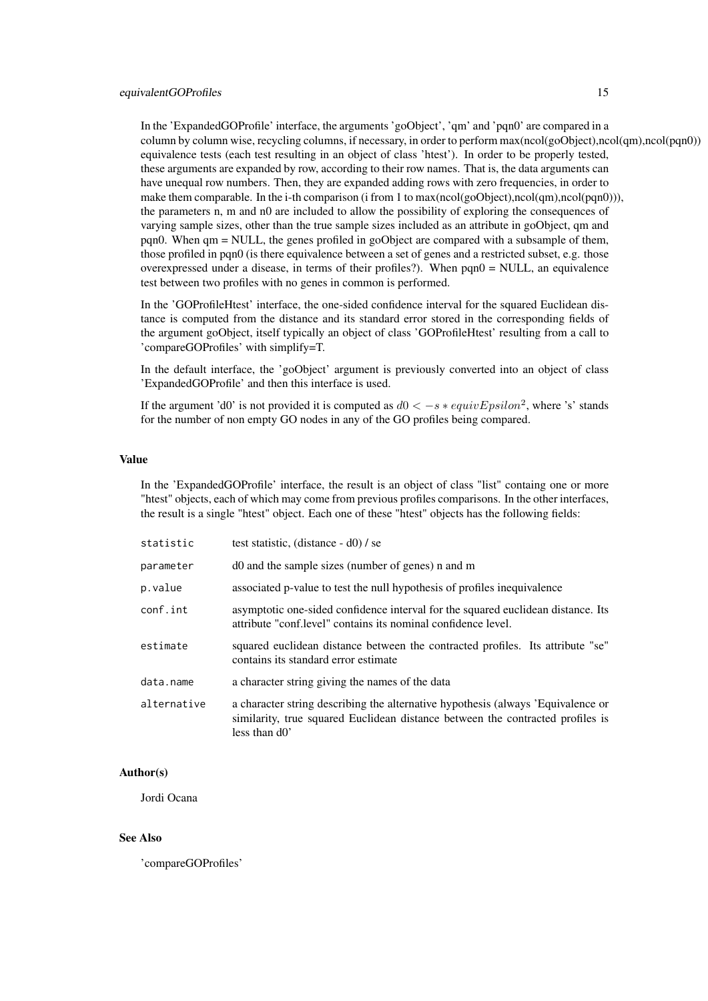In the 'ExpandedGOProfile' interface, the arguments 'goObject', 'qm' and 'pqn0' are compared in a column by column wise, recycling columns, if necessary, in order to perform max(ncol(goObject),ncol(qm),ncol(pqn0)) equivalence tests (each test resulting in an object of class 'htest'). In order to be properly tested, these arguments are expanded by row, according to their row names. That is, the data arguments can have unequal row numbers. Then, they are expanded adding rows with zero frequencies, in order to make them comparable. In the i-th comparison (i from 1 to max(ncol(goObject),ncol(qm),ncol(pqn0))), the parameters n, m and n0 are included to allow the possibility of exploring the consequences of varying sample sizes, other than the true sample sizes included as an attribute in goObject, qm and pqn0. When qm = NULL, the genes profiled in goObject are compared with a subsample of them, those profiled in pqn0 (is there equivalence between a set of genes and a restricted subset, e.g. those overexpressed under a disease, in terms of their profiles?). When pqn0 = NULL, an equivalence test between two profiles with no genes in common is performed.

In the 'GOProfileHtest' interface, the one-sided confidence interval for the squared Euclidean distance is computed from the distance and its standard error stored in the corresponding fields of the argument goObject, itself typically an object of class 'GOProfileHtest' resulting from a call to 'compareGOProfiles' with simplify=T.

In the default interface, the 'goObject' argument is previously converted into an object of class 'ExpandedGOProfile' and then this interface is used.

If the argument 'd0' is not provided it is computed as  $d0 < -s * \epsilon q uivEpsilon$  , where 's' stands for the number of non empty GO nodes in any of the GO profiles being compared.

#### Value

In the 'ExpandedGOProfile' interface, the result is an object of class "list" containg one or more "htest" objects, each of which may come from previous profiles comparisons. In the other interfaces, the result is a single "htest" object. Each one of these "htest" objects has the following fields:

| statistic   | test statistic, (distance $- d0$ ) / se                                                                                                                                             |
|-------------|-------------------------------------------------------------------------------------------------------------------------------------------------------------------------------------|
| parameter   | d0 and the sample sizes (number of genes) n and m                                                                                                                                   |
| p.value     | associated p-value to test the null hypothesis of profiles inequivalence                                                                                                            |
| conf.int    | asymptotic one-sided confidence interval for the squared euclidean distance. Its<br>attribute "conf.level" contains its nominal confidence level.                                   |
| estimate    | squared euclidean distance between the contracted profiles. Its attribute "se"<br>contains its standard error estimate                                                              |
| data.name   | a character string giving the names of the data                                                                                                                                     |
| alternative | a character string describing the alternative hypothesis (always 'Equivalence or<br>similarity, true squared Euclidean distance between the contracted profiles is<br>less than d0' |

#### Author(s)

Jordi Ocana

## See Also

'compareGOProfiles'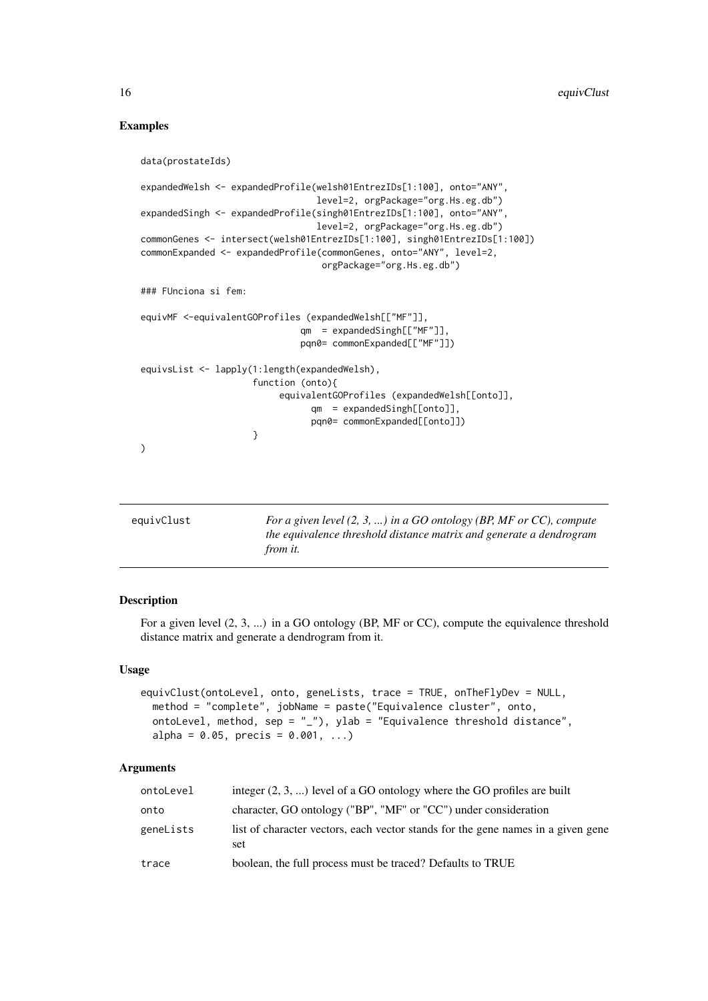## Examples

```
data(prostateIds)
 expandedWelsh <- expandedProfile(welsh01EntrezIDs[1:100], onto="ANY",
                                   level=2, orgPackage="org.Hs.eg.db")
 expandedSingh <- expandedProfile(singh01EntrezIDs[1:100], onto="ANY",
                                   level=2, orgPackage="org.Hs.eg.db")
 commonGenes <- intersect(welsh01EntrezIDs[1:100], singh01EntrezIDs[1:100])
 commonExpanded <- expandedProfile(commonGenes, onto="ANY", level=2,
                                    orgPackage="org.Hs.eg.db")
 ### FUnciona si fem:
 equivMF <-equivalentGOProfiles (expandedWelsh[["MF"]],
                               qm = expandedSingh[["MF"]],
                               pqn0= commonExpanded[["MF"]])
 equivsList <- lapply(1:length(expandedWelsh),
                       function (onto){
                            equivalentGOProfiles (expandedWelsh[[onto]],
                                  qm = expandedSingh[[onto]],
                                  pqn0= commonExpanded[[onto]])
                       }
 )
equivClust For a given level (2, 3, ...) in a GO ontology (BP, MF or CC), compute
                         the equivalence threshold distance matrix and generate a dendrogram
                         from it.
```
#### Description

For a given level (2, 3, ...) in a GO ontology (BP, MF or CC), compute the equivalence threshold distance matrix and generate a dendrogram from it.

## Usage

```
equivClust(ontoLevel, onto, geneLists, trace = TRUE, onTheFlyDev = NULL,
 method = "complete", jobName = paste("Equivalence cluster", onto,
 ontoLevel, method, sep = "_"), ylab = "Equivalence threshold distance",
 alpha = 0.05, precis = 0.001, ...)
```

| ontoLevel | integer $(2, 3, )$ level of a GO ontology where the GO profiles are built               |
|-----------|-----------------------------------------------------------------------------------------|
| onto      | character, GO ontology ("BP", "MF" or "CC") under consideration                         |
| geneLists | list of character vectors, each vector stands for the gene names in a given gene<br>set |
| trace     | boolean, the full process must be traced? Defaults to TRUE                              |

<span id="page-15-0"></span>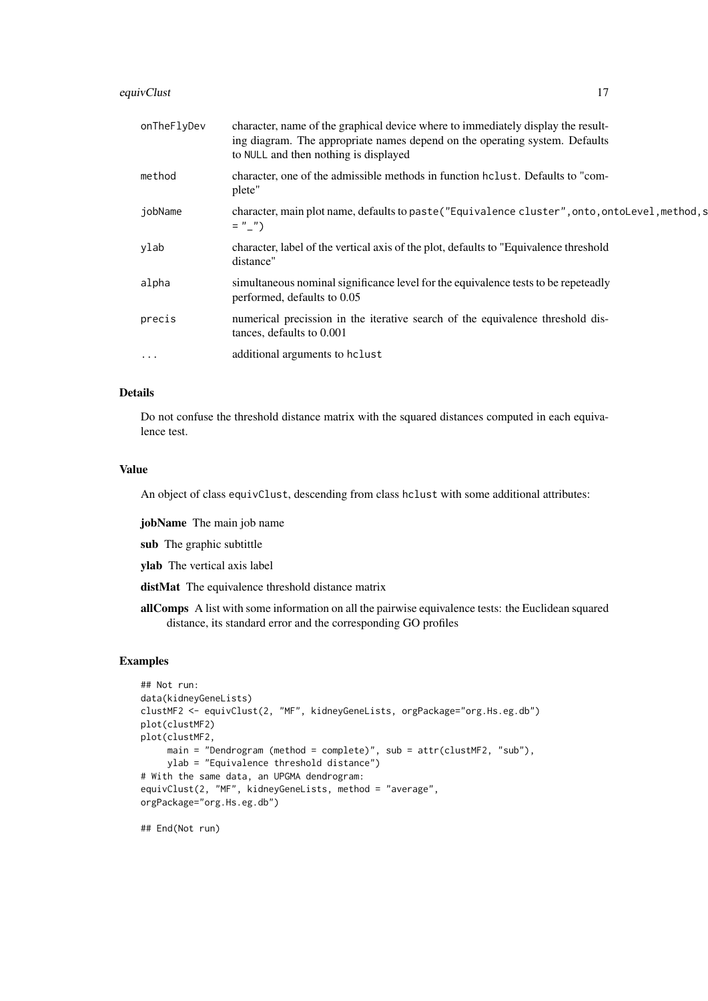#### equivClust 17

| onTheFlyDev | character, name of the graphical device where to immediately display the result-<br>ing diagram. The appropriate names depend on the operating system. Defaults<br>to NULL and then nothing is displayed |
|-------------|----------------------------------------------------------------------------------------------------------------------------------------------------------------------------------------------------------|
| method      | character, one of the admissible methods in function holiest. Defaults to "com-<br>plete"                                                                                                                |
| jobName     | character, main plot name, defaults to paste ("Equivalence cluster", onto, ontolevel, method, s<br>$=$ " $\frac{1}{2}$ ")                                                                                |
| ylab        | character, label of the vertical axis of the plot, defaults to "Equivalence threshold<br>distance"                                                                                                       |
| alpha       | simultaneous nominal significance level for the equivalence tests to be repeteadly<br>performed, defaults to 0.05                                                                                        |
| precis      | numerical precission in the iterative search of the equivalence threshold dis-<br>tances, defaults to 0.001                                                                                              |
| $\cdots$    | additional arguments to hclust                                                                                                                                                                           |

#### Details

Do not confuse the threshold distance matrix with the squared distances computed in each equivalence test.

#### Value

An object of class equivClust, descending from class hclust with some additional attributes:

jobName The main job name

sub The graphic subtittle

ylab The vertical axis label

distMat The equivalence threshold distance matrix

allComps A list with some information on all the pairwise equivalence tests: the Euclidean squared distance, its standard error and the corresponding GO profiles

## Examples

```
## Not run:
data(kidneyGeneLists)
clustMF2 <- equivClust(2, "MF", kidneyGeneLists, orgPackage="org.Hs.eg.db")
plot(clustMF2)
plot(clustMF2,
     main = "Dendrogram (method = complete)", sub = attr(clustMF2, "sub"),
     ylab = "Equivalence threshold distance")
# With the same data, an UPGMA dendrogram:
equivClust(2, "MF", kidneyGeneLists, method = "average",
orgPackage="org.Hs.eg.db")
```
## End(Not run)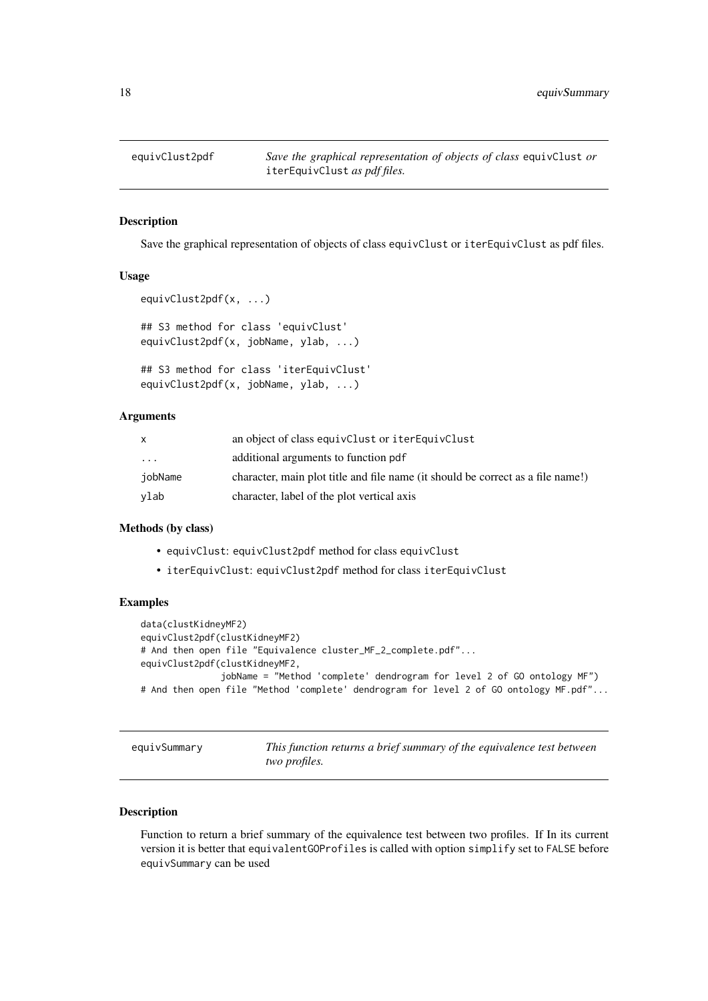<span id="page-17-0"></span>

## Description

Save the graphical representation of objects of class equivClust or iterEquivClust as pdf files.

## Usage

```
equivClust2pdf(x, ...)
## S3 method for class 'equivClust'
equivClust2pdf(x, jobName, ylab, ...)
## S3 method for class 'iterEquivClust'
equivClust2pdf(x, jobName, ylab, ...)
```
#### Arguments

| X       | an object of class equivClust or iterEquivClust                                 |
|---------|---------------------------------------------------------------------------------|
| .       | additional arguments to function pdf                                            |
| iobName | character, main plot title and file name (it should be correct as a file name!) |
| vlab    | character, label of the plot vertical axis                                      |

## Methods (by class)

- equivClust: equivClust2pdf method for class equivClust
- iterEquivClust: equivClust2pdf method for class iterEquivClust

#### Examples

```
data(clustKidneyMF2)
equivClust2pdf(clustKidneyMF2)
# And then open file "Equivalence cluster_MF_2_complete.pdf"...
equivClust2pdf(clustKidneyMF2,
               jobName = "Method 'complete' dendrogram for level 2 of GO ontology MF")
# And then open file "Method 'complete' dendrogram for level 2 of GO ontology MF.pdf"...
```
equivSummary *This function returns a brief summary of the equivalence test between two profiles.*

## Description

Function to return a brief summary of the equivalence test between two profiles. If In its current version it is better that equivalentGOProfiles is called with option simplify set to FALSE before equivSummary can be used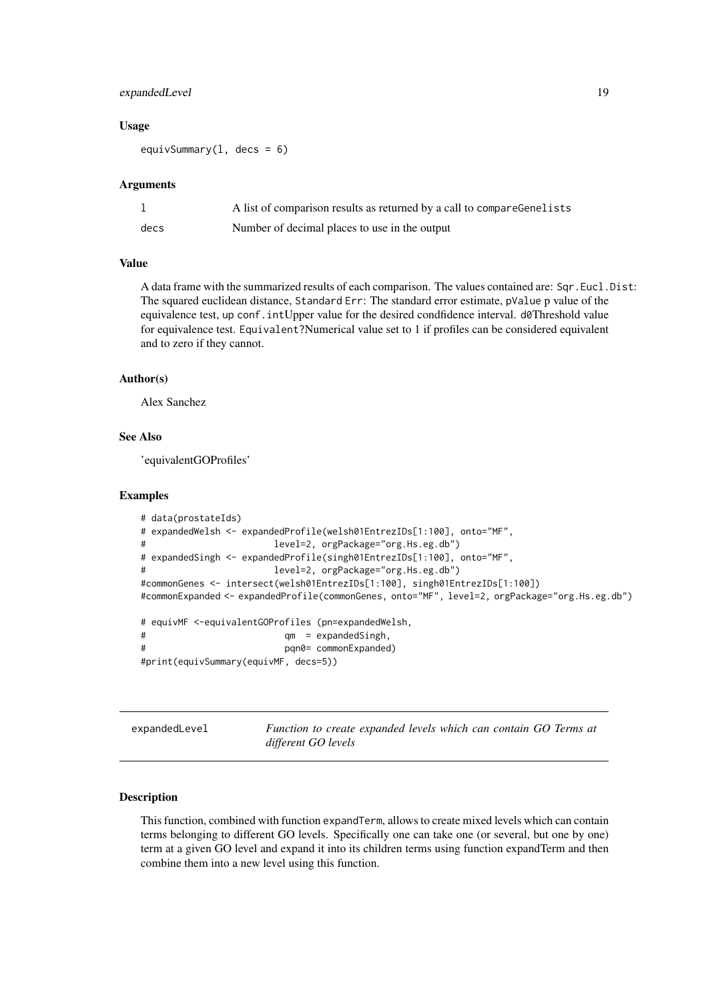#### <span id="page-18-0"></span>expanded Level 19

#### Usage

equivSummary( $1$ , decs = 6)

#### Arguments

|      | A list of comparison results as returned by a call to compareGenelists |
|------|------------------------------------------------------------------------|
| decs | Number of decimal places to use in the output                          |

#### Value

A data frame with the summarized results of each comparison. The values contained are: Sqr.Eucl.Dist: The squared euclidean distance, Standard Err: The standard error estimate, pValue p value of the equivalence test, up conf. intUpper value for the desired condfidence interval. d0Threshold value for equivalence test. Equivalent?Numerical value set to 1 if profiles can be considered equivalent and to zero if they cannot.

#### Author(s)

Alex Sanchez

## See Also

'equivalentGOProfiles'

#### Examples

```
# data(prostateIds)
# expandedWelsh <- expandedProfile(welsh01EntrezIDs[1:100], onto="MF",
# level=2, orgPackage="org.Hs.eg.db")
# expandedSingh <- expandedProfile(singh01EntrezIDs[1:100], onto="MF",
# level=2, orgPackage="org.Hs.eg.db")
#commonGenes <- intersect(welsh01EntrezIDs[1:100], singh01EntrezIDs[1:100])
#commonExpanded <- expandedProfile(commonGenes, onto="MF", level=2, orgPackage="org.Hs.eg.db")
# equivMF <-equivalentGOProfiles (pn=expandedWelsh,
# qm = expandedSingh,
# pqn0= commonExpanded)
#print(equivSummary(equivMF, decs=5))
```
expandedLevel *Function to create expanded levels which can contain GO Terms at different GO levels*

#### Description

This function, combined with function expandTerm, allows to create mixed levels which can contain terms belonging to different GO levels. Specifically one can take one (or several, but one by one) term at a given GO level and expand it into its children terms using function expandTerm and then combine them into a new level using this function.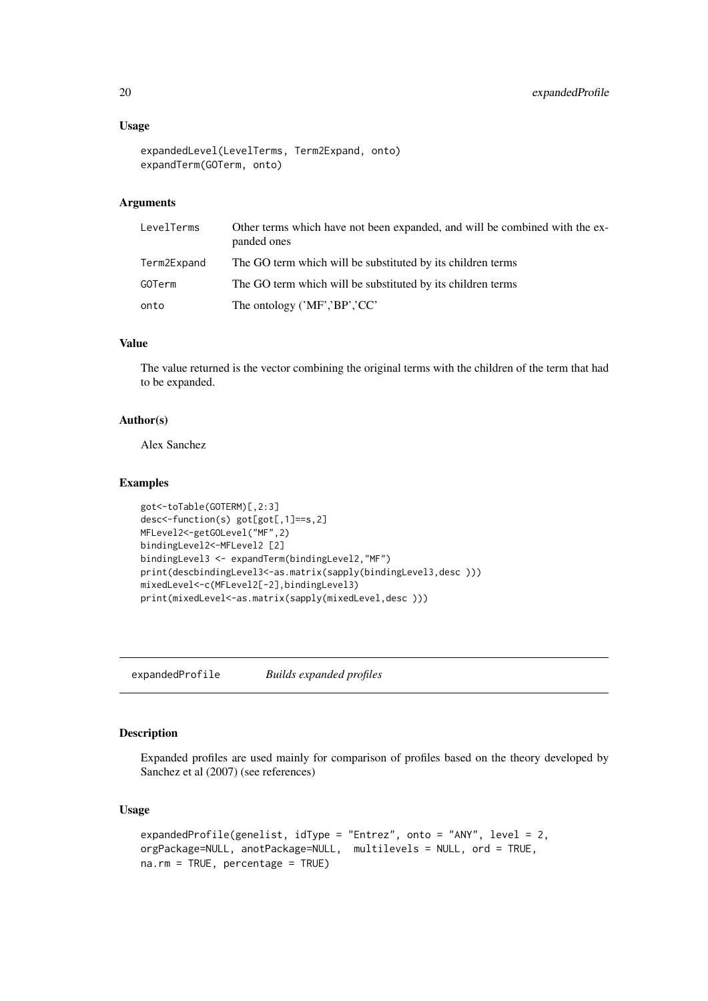#### Usage

```
expandedLevel(LevelTerms, Term2Expand, onto)
expandTerm(GOTerm, onto)
```
## Arguments

| LevelTerms    | Other terms which have not been expanded, and will be combined with the ex-<br>panded ones |
|---------------|--------------------------------------------------------------------------------------------|
| Term2Expand   | The GO term which will be substituted by its children terms                                |
| <b>GOTerm</b> | The GO term which will be substituted by its children terms                                |
| onto          | The ontology $('MF', 'BP', 'CC')$                                                          |

## Value

The value returned is the vector combining the original terms with the children of the term that had to be expanded.

#### Author(s)

Alex Sanchez

#### Examples

```
got<-toTable(GOTERM)[,2:3]
desc<-function(s) got[got[,1]==s,2]
MFLevel2<-getGOLevel("MF",2)
bindingLevel2<-MFLevel2 [2]
bindingLevel3 <- expandTerm(bindingLevel2,"MF")
print(descbindingLevel3<-as.matrix(sapply(bindingLevel3,desc )))
mixedLevel<-c(MFLevel2[-2],bindingLevel3)
print(mixedLevel<-as.matrix(sapply(mixedLevel,desc )))
```
<span id="page-19-1"></span>expandedProfile *Builds expanded profiles*

## Description

Expanded profiles are used mainly for comparison of profiles based on the theory developed by Sanchez et al (2007) (see references)

#### Usage

```
expandedProfile(genelist, idType = "Entrez", onto = "ANY", level = 2,
orgPackage=NULL, anotPackage=NULL, multilevels = NULL, ord = TRUE,
na.rm = TRUE, percentage = TRUE)
```
<span id="page-19-0"></span>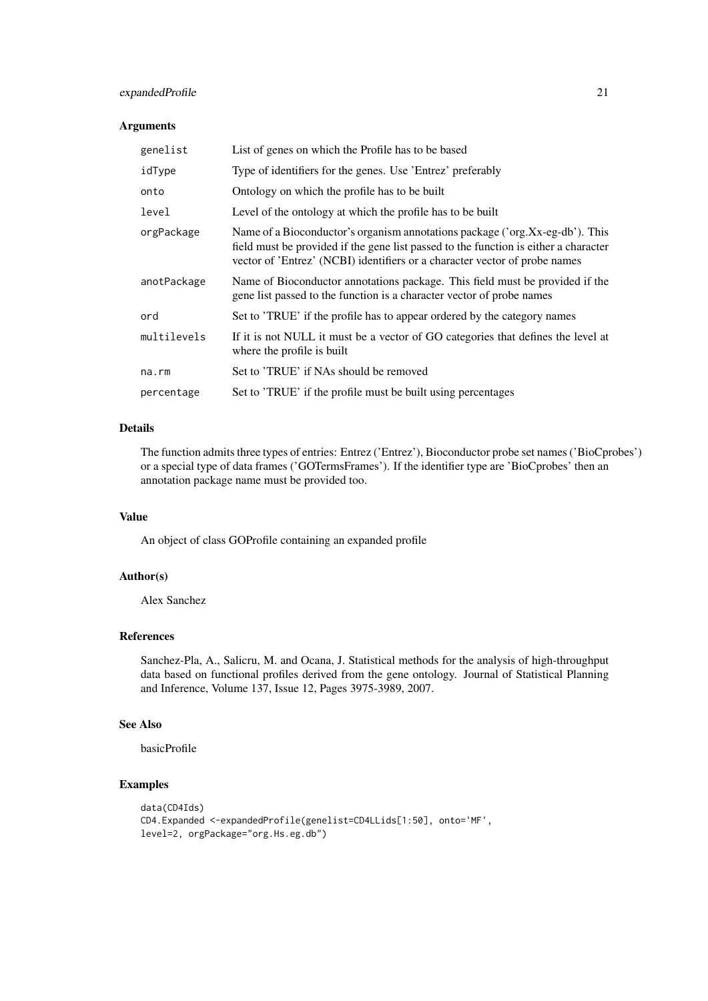#### expandedProfile 21

## Arguments

| genelist    | List of genes on which the Profile has to be based                                                                                                                                                                                                 |
|-------------|----------------------------------------------------------------------------------------------------------------------------------------------------------------------------------------------------------------------------------------------------|
| idType      | Type of identifiers for the genes. Use 'Entrez' preferably                                                                                                                                                                                         |
| onto        | Ontology on which the profile has to be built                                                                                                                                                                                                      |
| level       | Level of the ontology at which the profile has to be built                                                                                                                                                                                         |
| orgPackage  | Name of a Bioconductor's organism annotations package ('org.Xx-eg-db'). This<br>field must be provided if the gene list passed to the function is either a character<br>vector of 'Entrez' (NCBI) identifiers or a character vector of probe names |
| anotPackage | Name of Bioconductor annotations package. This field must be provided if the<br>gene list passed to the function is a character vector of probe names                                                                                              |
| ord         | Set to 'TRUE' if the profile has to appear ordered by the category names                                                                                                                                                                           |
| multilevels | If it is not NULL it must be a vector of GO categories that defines the level at<br>where the profile is built                                                                                                                                     |
| na.rm       | Set to 'TRUE' if NAs should be removed                                                                                                                                                                                                             |
| percentage  | Set to 'TRUE' if the profile must be built using percentages                                                                                                                                                                                       |

## Details

The function admits three types of entries: Entrez ('Entrez'), Bioconductor probe set names ('BioCprobes') or a special type of data frames ('GOTermsFrames'). If the identifier type are 'BioCprobes' then an annotation package name must be provided too.

## Value

An object of class GOProfile containing an expanded profile

#### Author(s)

Alex Sanchez

## References

Sanchez-Pla, A., Salicru, M. and Ocana, J. Statistical methods for the analysis of high-throughput data based on functional profiles derived from the gene ontology. Journal of Statistical Planning and Inference, Volume 137, Issue 12, Pages 3975-3989, 2007.

## See Also

basicProfile

## Examples

```
data(CD4Ids)
CD4.Expanded <-expandedProfile(genelist=CD4LLids[1:50], onto='MF',
level=2, orgPackage="org.Hs.eg.db")
```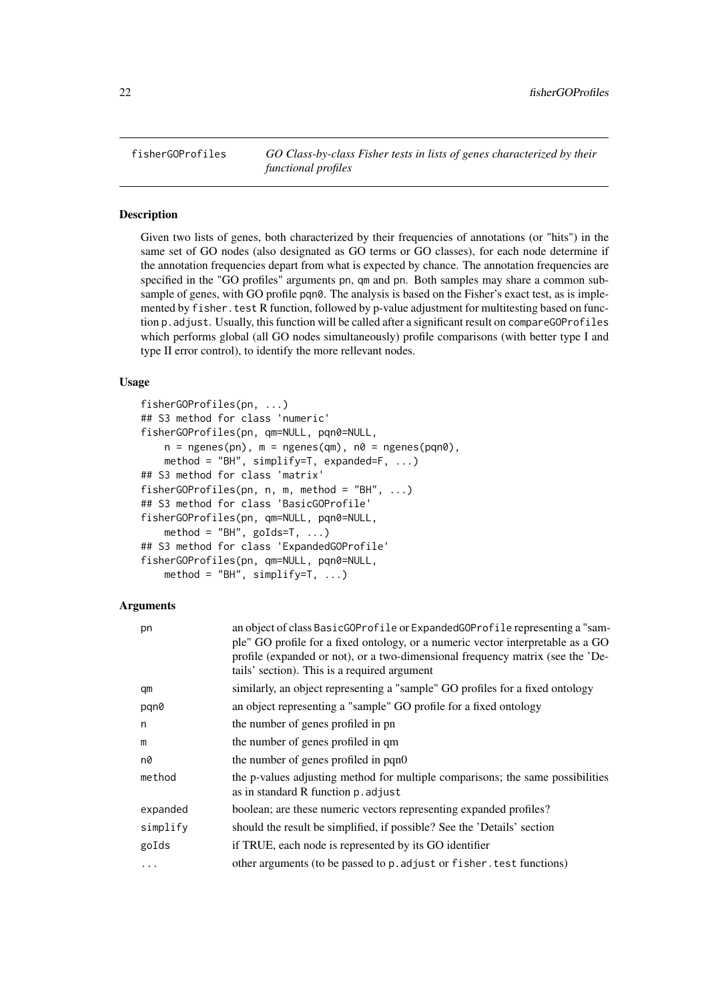<span id="page-21-0"></span>fisherGOProfiles *GO Class-by-class Fisher tests in lists of genes characterized by their functional profiles*

## Description

Given two lists of genes, both characterized by their frequencies of annotations (or "hits") in the same set of GO nodes (also designated as GO terms or GO classes), for each node determine if the annotation frequencies depart from what is expected by chance. The annotation frequencies are specified in the "GO profiles" arguments pn, qm and pn. Both samples may share a common subsample of genes, with GO profile pqn0. The analysis is based on the Fisher's exact test, as is implemented by fisher. test R function, followed by p-value adjustment for multitesting based on function p.adjust. Usually, this function will be called after a significant result on compareGOProfiles which performs global (all GO nodes simultaneously) profile comparisons (with better type I and type II error control), to identify the more rellevant nodes.

## Usage

```
fisherGOProfiles(pn, ...)
## S3 method for class 'numeric'
fisherGOProfiles(pn, qm=NULL, pqn0=NULL,
    n = ngenes(pn), m = ngenes(qm), n\theta = ngenes(pqn0),
    method = "BH", simplify=T, expanded=F, ...)
## S3 method for class 'matrix'
fisherGOProfiles(pn, n, m, method = "BH", ...)
## S3 method for class 'BasicGOProfile'
fisherGOProfiles(pn, qm=NULL, pqn0=NULL,
    method = "BH", goIds=T, ...)
## S3 method for class 'ExpandedGOProfile'
fisherGOProfiles(pn, qm=NULL, pqn0=NULL,
    method = "BH", simplify=T, ...)
```

| pn         | an object of class BasicGOProfile or ExpandedGOProfile representing a "sam-<br>ple" GO profile for a fixed ontology, or a numeric vector interpretable as a GO<br>profile (expanded or not), or a two-dimensional frequency matrix (see the 'De-<br>tails' section). This is a required argument |
|------------|--------------------------------------------------------------------------------------------------------------------------------------------------------------------------------------------------------------------------------------------------------------------------------------------------|
| qm         | similarly, an object representing a "sample" GO profiles for a fixed ontology                                                                                                                                                                                                                    |
| pqn0       | an object representing a "sample" GO profile for a fixed ontology                                                                                                                                                                                                                                |
| n          | the number of genes profiled in pn                                                                                                                                                                                                                                                               |
| m          | the number of genes profiled in qm                                                                                                                                                                                                                                                               |
| n0         | the number of genes profiled in pqn0                                                                                                                                                                                                                                                             |
| method     | the p-values adjusting method for multiple comparisons; the same possibilities<br>as in standard R function p. adjust                                                                                                                                                                            |
| expanded   | boolean; are these numeric vectors representing expanded profiles?                                                                                                                                                                                                                               |
| simplify   | should the result be simplified, if possible? See the 'Details' section                                                                                                                                                                                                                          |
| goIds      | if TRUE, each node is represented by its GO identifier                                                                                                                                                                                                                                           |
| $\ddots$ . | other arguments (to be passed to p. adjust or fisher. test functions)                                                                                                                                                                                                                            |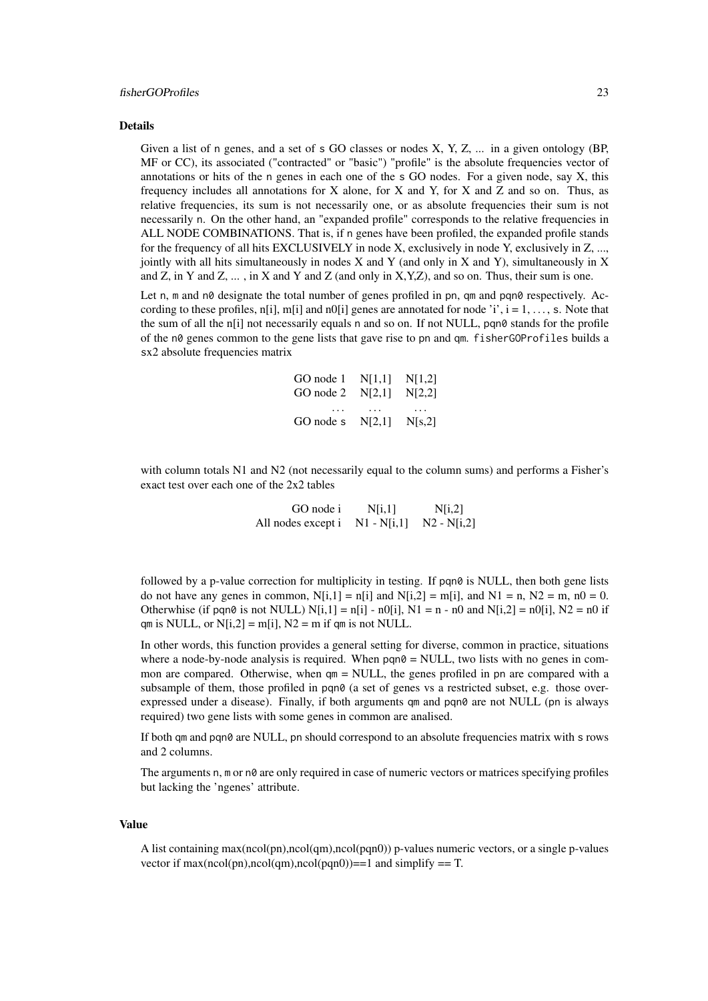#### fisherGOProfiles 23

#### Details

Given a list of n genes, and a set of s GO classes or nodes X, Y, Z, ... in a given ontology (BP, MF or CC), its associated ("contracted" or "basic") "profile" is the absolute frequencies vector of annotations or hits of the n genes in each one of the s GO nodes. For a given node, say X, this frequency includes all annotations for  $X$  alone, for  $X$  and  $Y$ , for  $X$  and  $Z$  and so on. Thus, as relative frequencies, its sum is not necessarily one, or as absolute frequencies their sum is not necessarily n. On the other hand, an "expanded profile" corresponds to the relative frequencies in ALL NODE COMBINATIONS. That is, if n genes have been profiled, the expanded profile stands for the frequency of all hits EXCLUSIVELY in node X, exclusively in node Y, exclusively in Z, ..., jointly with all hits simultaneously in nodes  $X$  and  $Y$  (and only in  $X$  and  $Y$ ), simultaneously in  $X$ and Z, in Y and Z,  $\dots$ , in X and Y and Z (and only in X,Y,Z), and so on. Thus, their sum is one.

Let n, m and n0 designate the total number of genes profiled in pn, qm and pqn0 respectively. According to these profiles, n[i], m[i] and n0[i] genes are annotated for node 'i',  $i = 1, \ldots, s$ . Note that the sum of all the n[i] not necessarily equals n and so on. If not NULL, pan0 stands for the profile of the n0 genes common to the gene lists that gave rise to pn and qm. fisherGOProfiles builds a sx2 absolute frequencies matrix

| GO node $1 \quad N[1,1]$<br>GO node $2 \quad N[2,1]$ | N[1,2]<br>N[2,2] |
|------------------------------------------------------|------------------|
| GO node s $N[2,1]$                                   | .<br>N[s,2]      |

with column totals N1 and N2 (not necessarily equal to the column sums) and performs a Fisher's exact test over each one of the 2x2 tables

> GO node i  $N[i,1]$   $N[i,2]$ All nodes except i  $N1 - N[i,1]$   $N2 - N[i,2]$

followed by a p-value correction for multiplicity in testing. If pqn0 is NULL, then both gene lists do not have any genes in common,  $N[i,1] = n[i]$  and  $N[i,2] = m[i]$ , and  $N1 = n$ ,  $N2 = m$ ,  $n0 = 0$ . Otherwhise (if pqn0 is not NULL)  $N[i, 1] = n[i] - n[0[i], N1 = n - n[0]$  and  $N[i, 2] = n[0[i], N2 = n[0]$  if qm is NULL, or  $N[i,2] = m[i]$ ,  $N2 = m$  if qm is not NULL.

In other words, this function provides a general setting for diverse, common in practice, situations where a node-by-node analysis is required. When  $pqn0 = NULL$ , two lists with no genes in common are compared. Otherwise, when  $qm = NULL$ , the genes profiled in pn are compared with a subsample of them, those profiled in pqn0 (a set of genes vs a restricted subset, e.g. those overexpressed under a disease). Finally, if both arguments qm and pqn0 are not NULL (pn is always required) two gene lists with some genes in common are analised.

If both qm and pqn0 are NULL, pn should correspond to an absolute frequencies matrix with s rows and 2 columns.

The arguments n, m or n0 are only required in case of numeric vectors or matrices specifying profiles but lacking the 'ngenes' attribute.

#### Value

A list containing max(ncol(pn),ncol(qm),ncol(pqn0)) p-values numeric vectors, or a single p-values vector if  $max(ncol(pn),ncol(qm),ncol(pqn0))==1$  and simplify == T.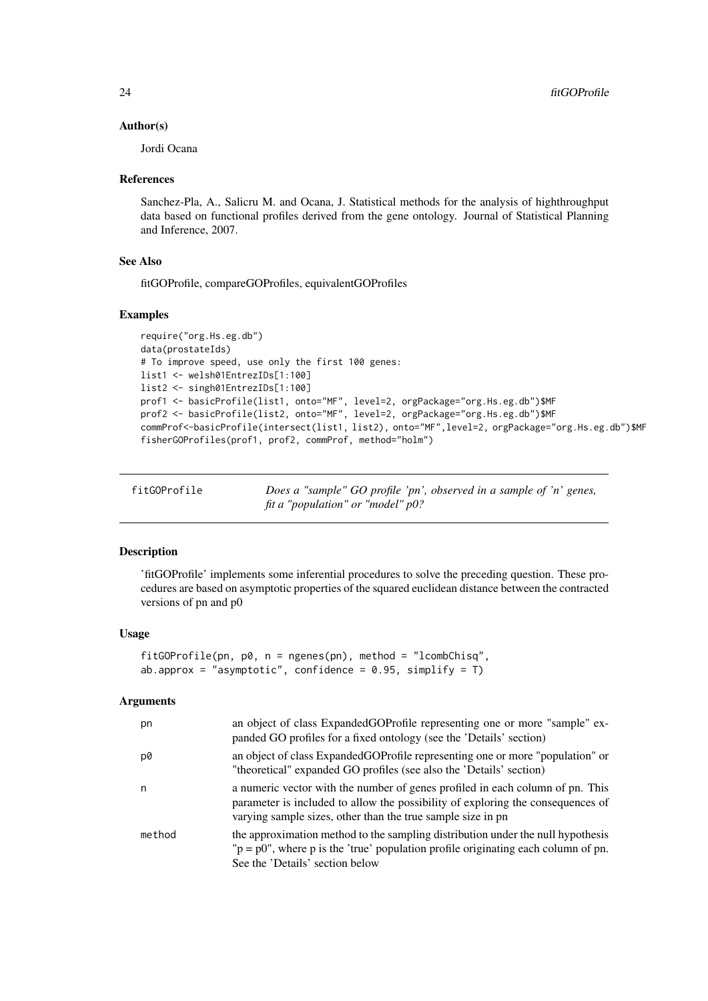#### <span id="page-23-0"></span>Author(s)

Jordi Ocana

#### References

Sanchez-Pla, A., Salicru M. and Ocana, J. Statistical methods for the analysis of highthroughput data based on functional profiles derived from the gene ontology. Journal of Statistical Planning and Inference, 2007.

#### See Also

fitGOProfile, compareGOProfiles, equivalentGOProfiles

#### Examples

```
require("org.Hs.eg.db")
data(prostateIds)
# To improve speed, use only the first 100 genes:
list1 <- welsh01EntrezIDs[1:100]
list2 <- singh01EntrezIDs[1:100]
prof1 <- basicProfile(list1, onto="MF", level=2, orgPackage="org.Hs.eg.db")$MF
prof2 <- basicProfile(list2, onto="MF", level=2, orgPackage="org.Hs.eg.db")$MF
commProf<-basicProfile(intersect(list1, list2), onto="MF",level=2, orgPackage="org.Hs.eg.db")$MF
fisherGOProfiles(prof1, prof2, commProf, method="holm")
```

| fitGOProfile | Does a "sample" GO profile 'pn', observed in a sample of 'n' genes, |
|--------------|---------------------------------------------------------------------|
|              | fit a "population" or "model" $p0$ ?                                |

## Description

'fitGOProfile' implements some inferential procedures to solve the preceding question. These procedures are based on asymptotic properties of the squared euclidean distance between the contracted versions of pn and p0

#### Usage

```
fitGOProfile(pn, p0, n = ngenes(pn), method = "lcombChisq",
ab.approx = "asymptotic", confidence = 0.95, simplify = T)
```

| pn     | an object of class ExpandedGOProfile representing one or more "sample" ex-<br>panded GO profiles for a fixed ontology (see the 'Details' section)                                                                               |
|--------|---------------------------------------------------------------------------------------------------------------------------------------------------------------------------------------------------------------------------------|
| p0     | an object of class ExpandedGOProfile representing one or more "population" or<br>"theoretical" expanded GO profiles (see also the 'Details' section)                                                                            |
| n      | a numeric vector with the number of genes profiled in each column of pn. This<br>parameter is included to allow the possibility of exploring the consequences of<br>varying sample sizes, other than the true sample size in pn |
| method | the approximation method to the sampling distribution under the null hypothesis<br>$p = p0$ , where p is the 'true' population profile originating each column of pn.<br>See the 'Details' section below                        |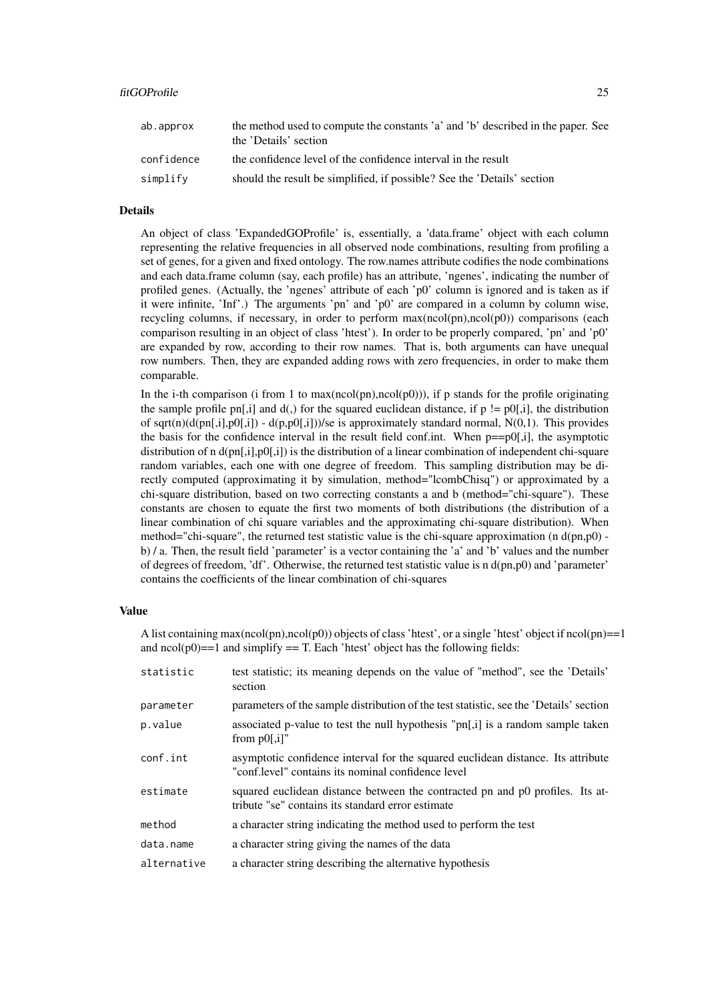| ab.approx  | the method used to compute the constants 'a' and 'b' described in the paper. See<br>the 'Details' section |
|------------|-----------------------------------------------------------------------------------------------------------|
| confidence | the confidence level of the confidence interval in the result                                             |
| simplify   | should the result be simplified, if possible? See the 'Details' section                                   |

#### Details

An object of class 'ExpandedGOProfile' is, essentially, a 'data.frame' object with each column representing the relative frequencies in all observed node combinations, resulting from profiling a set of genes, for a given and fixed ontology. The row.names attribute codifies the node combinations and each data.frame column (say, each profile) has an attribute, 'ngenes', indicating the number of profiled genes. (Actually, the 'ngenes' attribute of each 'p0' column is ignored and is taken as if it were infinite, 'Inf'.) The arguments 'pn' and 'p0' are compared in a column by column wise, recycling columns, if necessary, in order to perform max(ncol(pn),ncol(p0)) comparisons (each comparison resulting in an object of class 'htest'). In order to be properly compared, 'pn' and 'p0' are expanded by row, according to their row names. That is, both arguments can have unequal row numbers. Then, they are expanded adding rows with zero frequencies, in order to make them comparable.

In the i-th comparison (i from 1 to max(ncol(pn),ncol(p0))), if p stands for the profile originating the sample profile pn[,i] and  $d(.)$  for the squared euclidean distance, if  $p := p(0),i$ ], the distribution of sqrt(n)(d(pn[,i],p0[,i]) - d(p,p0[,i]))/se is approximately standard normal, N(0,1). This provides the basis for the confidence interval in the result field conf.int. When  $p == p0$ [,i], the asymptotic distribution of n d(pn[,i],p0[,i]) is the distribution of a linear combination of independent chi-square random variables, each one with one degree of freedom. This sampling distribution may be directly computed (approximating it by simulation, method="lcombChisq") or approximated by a chi-square distribution, based on two correcting constants a and b (method="chi-square"). These constants are chosen to equate the first two moments of both distributions (the distribution of a linear combination of chi square variables and the approximating chi-square distribution). When method="chi-square", the returned test statistic value is the chi-square approximation (n  $d(pn,p0)$ ) b) / a. Then, the result field 'parameter' is a vector containing the 'a' and 'b' values and the number of degrees of freedom, 'df'. Otherwise, the returned test statistic value is n d(pn,p0) and 'parameter' contains the coefficients of the linear combination of chi-squares

## Value

A list containing max(ncol(pn),ncol(p0)) objects of class 'htest', or a single 'htest' object if ncol(pn)==1 and  $ncol(p0) == 1$  and simplify  $== T$ . Each 'htest' object has the following fields:

| test statistic; its meaning depends on the value of "method", see the 'Details'<br>section                                              |
|-----------------------------------------------------------------------------------------------------------------------------------------|
| parameters of the sample distribution of the test statistic, see the 'Details' section                                                  |
| associated p-value to test the null hypothesis " $pn[i]$ is a random sample taken<br>from $p0$ [,i]"                                    |
| asymptotic confidence interval for the squared euclidean distance. Its attribute<br>"conf.level" contains its nominal confidence level" |
| squared euclidean distance between the contracted pn and p0 profiles. Its at-<br>tribute "se" contains its standard error estimate      |
| a character string indicating the method used to perform the test                                                                       |
| a character string giving the names of the data                                                                                         |
| a character string describing the alternative hypothesis                                                                                |
|                                                                                                                                         |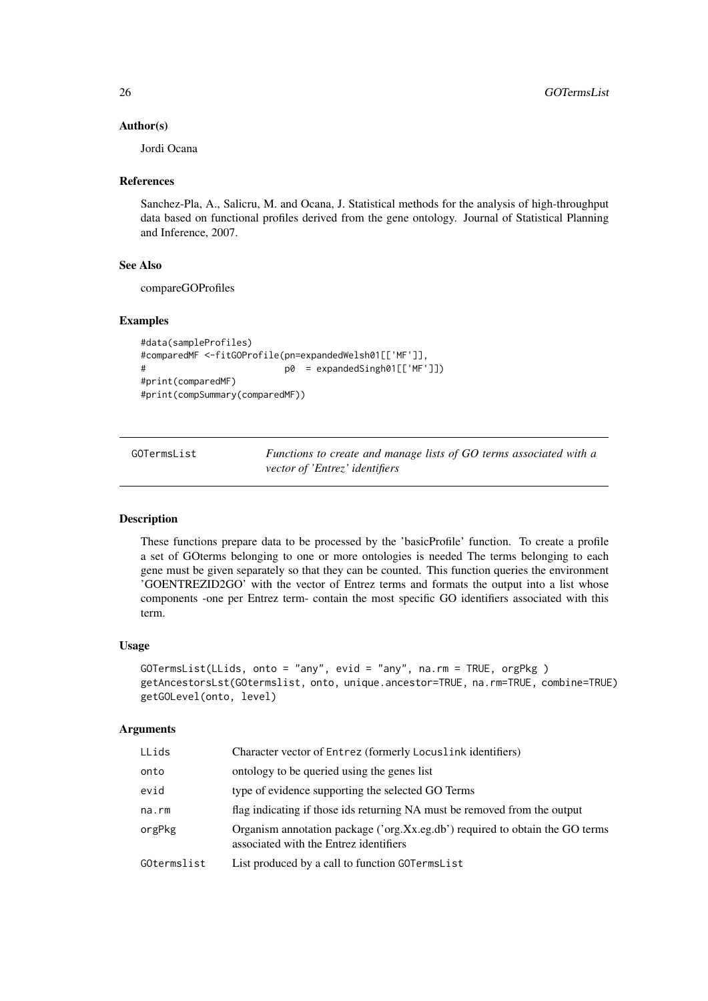#### Author(s)

Jordi Ocana

## References

Sanchez-Pla, A., Salicru, M. and Ocana, J. Statistical methods for the analysis of high-throughput data based on functional profiles derived from the gene ontology. Journal of Statistical Planning and Inference, 2007.

## See Also

compareGOProfiles

## Examples

```
#data(sampleProfiles)
#comparedMF <-fitGOProfile(pn=expandedWelsh01[['MF']],
# p0 = expandedSingh01[['MF']])
#print(comparedMF)
#print(compSummary(comparedMF))
```
GOTermsList *Functions to create and manage lists of GO terms associated with a vector of 'Entrez' identifiers*

#### Description

These functions prepare data to be processed by the 'basicProfile' function. To create a profile a set of GOterms belonging to one or more ontologies is needed The terms belonging to each gene must be given separately so that they can be counted. This function queries the environment 'GOENTREZID2GO' with the vector of Entrez terms and formats the output into a list whose components -one per Entrez term- contain the most specific GO identifiers associated with this term.

## Usage

```
GOTermsList(LLids, onto = "any", evid = "any", na.rm = TRUE, orgPkg )
getAncestorsLst(GOtermslist, onto, unique.ancestor=TRUE, na.rm=TRUE, combine=TRUE)
getGOLevel(onto, level)
```

| LLids       | Character vector of Entrez (formerly Locuslink identifiers)                                                            |
|-------------|------------------------------------------------------------------------------------------------------------------------|
| onto        | ontology to be queried using the genes list                                                                            |
| evid        | type of evidence supporting the selected GO Terms                                                                      |
| na.rm       | flag indicating if those ids returning NA must be removed from the output                                              |
| orgPkg      | Organism annotation package ('org.Xx.eg.db') required to obtain the GO terms<br>associated with the Entrez identifiers |
| GOtermslist | List produced by a call to function GOTermsList                                                                        |
|             |                                                                                                                        |

<span id="page-25-0"></span>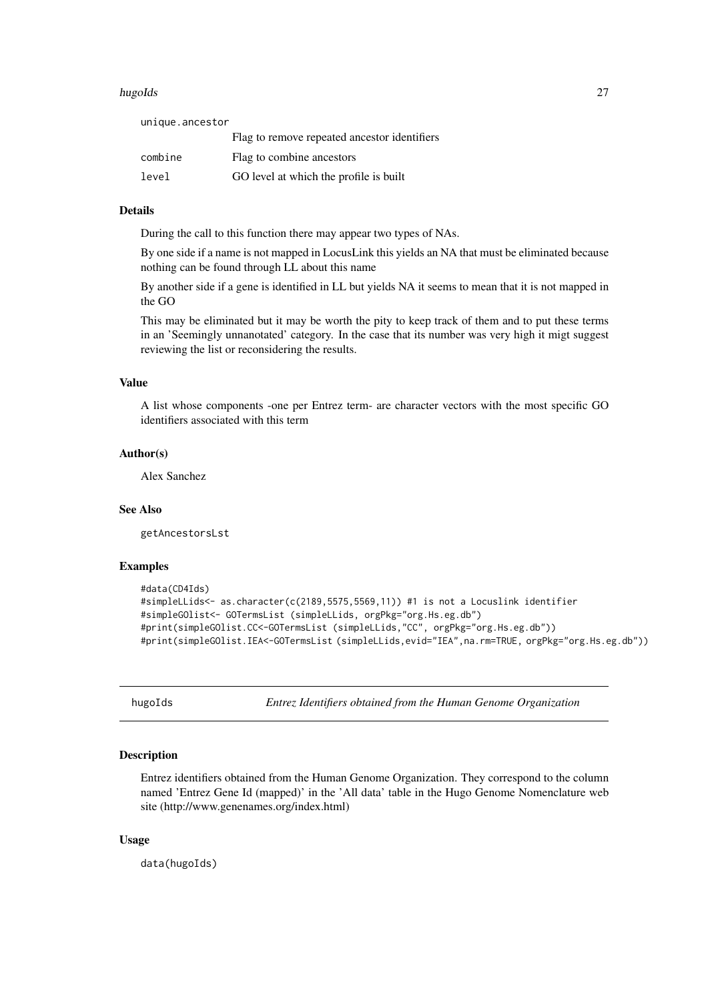#### <span id="page-26-0"></span>hugoIds 27

unique.ancestor

|         | Flag to remove repeated ancestor identifiers |
|---------|----------------------------------------------|
| combine | Flag to combine ancestors                    |
| level   | GO level at which the profile is built       |

#### Details

During the call to this function there may appear two types of NAs.

By one side if a name is not mapped in LocusLink this yields an NA that must be eliminated because nothing can be found through LL about this name

By another side if a gene is identified in LL but yields NA it seems to mean that it is not mapped in the GO

This may be eliminated but it may be worth the pity to keep track of them and to put these terms in an 'Seemingly unnanotated' category. In the case that its number was very high it migt suggest reviewing the list or reconsidering the results.

## Value

A list whose components -one per Entrez term- are character vectors with the most specific GO identifiers associated with this term

#### Author(s)

Alex Sanchez

#### See Also

getAncestorsLst

## Examples

```
#data(CD4Ids)
#simpleLLids<- as.character(c(2189,5575,5569,11)) #1 is not a Locuslink identifier
#simpleGOlist<- GOTermsList (simpleLLids, orgPkg="org.Hs.eg.db")
#print(simpleGOlist.CC<-GOTermsList (simpleLLids,"CC", orgPkg="org.Hs.eg.db"))
#print(simpleGOlist.IEA<-GOTermsList (simpleLLids,evid="IEA",na.rm=TRUE, orgPkg="org.Hs.eg.db"))
```
hugoIds *Entrez Identifiers obtained from the Human Genome Organization*

## Description

Entrez identifiers obtained from the Human Genome Organization. They correspond to the column named 'Entrez Gene Id (mapped)' in the 'All data' table in the Hugo Genome Nomenclature web site (http://www.genenames.org/index.html)

## Usage

data(hugoIds)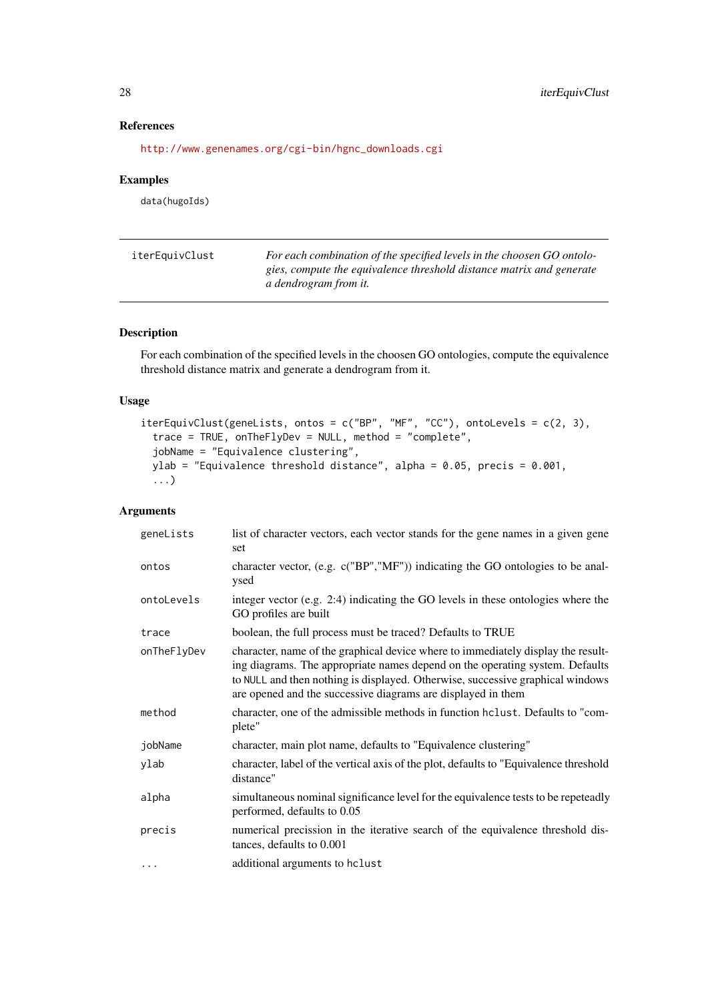## References

[http://www.genenames.org/cgi-bin/hgnc\\_downloads.cgi](http://www.genenames.org/cgi-bin/hgnc_downloads.cgi)

#### Examples

data(hugoIds)

| iterEquivClust | For each combination of the specified levels in the choosen GO ontolo-                               |
|----------------|------------------------------------------------------------------------------------------------------|
|                | gies, compute the equivalence threshold distance matrix and generate<br><i>a dendrogram from it.</i> |
|                |                                                                                                      |

## Description

For each combination of the specified levels in the choosen GO ontologies, compute the equivalence threshold distance matrix and generate a dendrogram from it.

## Usage

```
iterEquivClust(geneLists, ontos = c("BP", "MF", "CC"), ontoLevels = c(2, 3),
 trace = TRUE, onTheFlyDev = NULL, method = "complete",
 jobName = "Equivalence clustering",
 ylab = "Equivalence threshold distance", alpha = 0.05, precis = 0.001,
  ...)
```

| geneLists   | list of character vectors, each vector stands for the gene names in a given gene<br>set                                                                                                                                                                                                                            |
|-------------|--------------------------------------------------------------------------------------------------------------------------------------------------------------------------------------------------------------------------------------------------------------------------------------------------------------------|
| ontos       | character vector, (e.g. c("BP","MF")) indicating the GO ontologies to be anal-<br>ysed                                                                                                                                                                                                                             |
| ontoLevels  | integer vector (e.g. 2:4) indicating the GO levels in these ontologies where the<br>GO profiles are built                                                                                                                                                                                                          |
| trace       | boolean, the full process must be traced? Defaults to TRUE                                                                                                                                                                                                                                                         |
| onTheFlyDev | character, name of the graphical device where to immediately display the result-<br>ing diagrams. The appropriate names depend on the operating system. Defaults<br>to NULL and then nothing is displayed. Otherwise, successive graphical windows<br>are opened and the successive diagrams are displayed in them |
| method      | character, one of the admissible methods in function holiest. Defaults to "com-<br>plete"                                                                                                                                                                                                                          |
| jobName     | character, main plot name, defaults to "Equivalence clustering"                                                                                                                                                                                                                                                    |
| ylab        | character, label of the vertical axis of the plot, defaults to "Equivalence threshold<br>distance"                                                                                                                                                                                                                 |
| alpha       | simultaneous nominal significance level for the equivalence tests to be repeteadly<br>performed, defaults to 0.05                                                                                                                                                                                                  |
| precis      | numerical precission in the iterative search of the equivalence threshold dis-<br>tances, defaults to 0.001                                                                                                                                                                                                        |
| .           | additional arguments to hclust                                                                                                                                                                                                                                                                                     |

<span id="page-27-0"></span>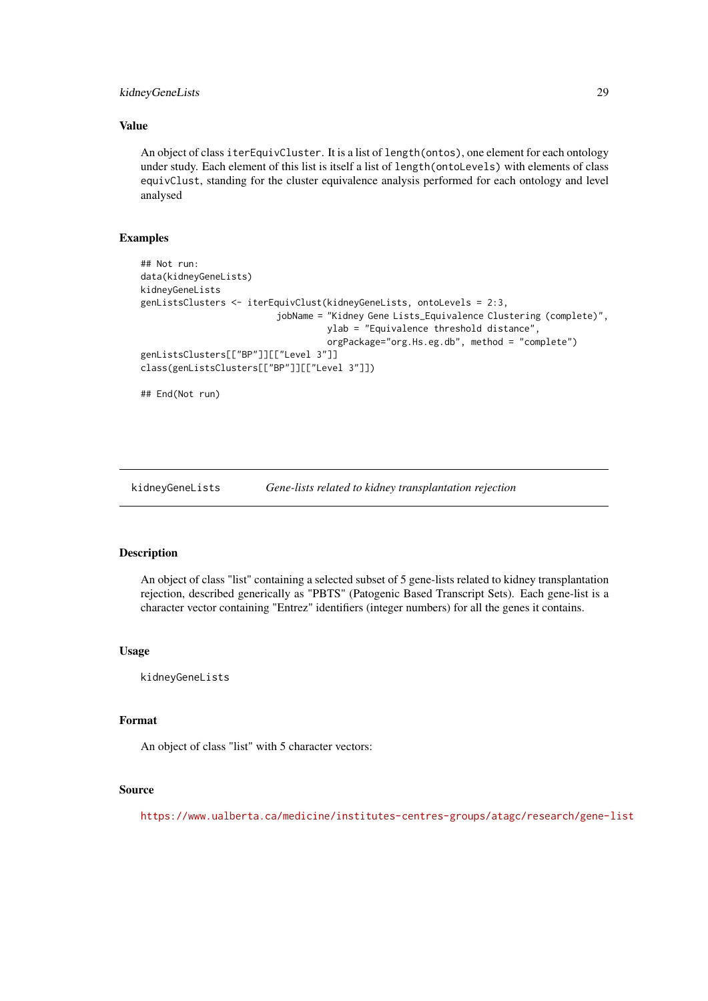#### <span id="page-28-0"></span>kidneyGeneLists 29

## Value

An object of class iterEquivCluster. It is a list of length(ontos), one element for each ontology under study. Each element of this list is itself a list of length(ontoLevels) with elements of class equivClust, standing for the cluster equivalence analysis performed for each ontology and level analysed

#### Examples

```
## Not run:
data(kidneyGeneLists)
kidneyGeneLists
genListsClusters <- iterEquivClust(kidneyGeneLists, ontoLevels = 2:3,
                          jobName = "Kidney Gene Lists_Equivalence Clustering (complete)",
                                   ylab = "Equivalence threshold distance",
                                   orgPackage="org.Hs.eg.db", method = "complete")
genListsClusters[["BP"]][["Level 3"]]
class(genListsClusters[["BP"]][["Level 3"]])
```
## End(Not run)

kidneyGeneLists *Gene-lists related to kidney transplantation rejection*

#### Description

An object of class "list" containing a selected subset of 5 gene-lists related to kidney transplantation rejection, described generically as "PBTS" (Patogenic Based Transcript Sets). Each gene-list is a character vector containing "Entrez" identifiers (integer numbers) for all the genes it contains.

## Usage

kidneyGeneLists

## Format

An object of class "list" with 5 character vectors:

#### Source

<https://www.ualberta.ca/medicine/institutes-centres-groups/atagc/research/gene-list>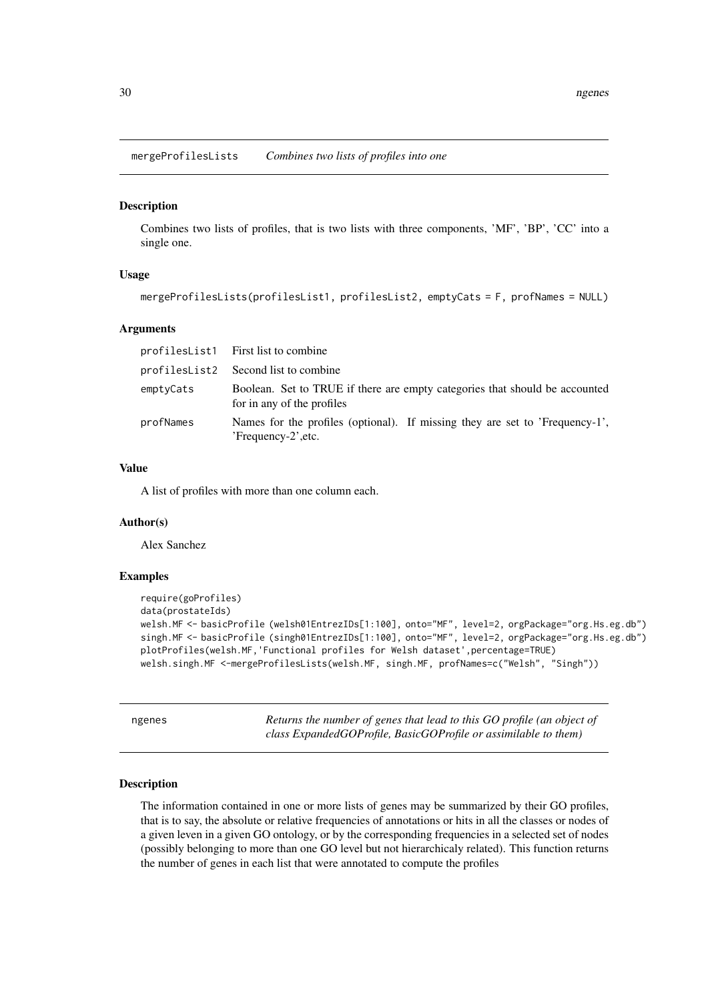<span id="page-29-0"></span>mergeProfilesLists *Combines two lists of profiles into one*

#### Description

Combines two lists of profiles, that is two lists with three components, 'MF', 'BP', 'CC' into a single one.

## Usage

```
mergeProfilesLists(profilesList1, profilesList2, emptyCats = F, profNames = NULL)
```
#### Arguments

|           | profilesList1 First list to combine                                                                       |
|-----------|-----------------------------------------------------------------------------------------------------------|
|           | profilesList2 Second list to combine                                                                      |
| emptyCats | Boolean. Set to TRUE if there are empty categories that should be accounted<br>for in any of the profiles |
| profNames | Names for the profiles (optional). If missing they are set to 'Frequency-1',<br>'Frequency-2', etc.       |

## Value

A list of profiles with more than one column each.

#### Author(s)

Alex Sanchez

#### Examples

```
require(goProfiles)
data(prostateIds)
welsh.MF <- basicProfile (welsh01EntrezIDs[1:100], onto="MF", level=2, orgPackage="org.Hs.eg.db")
singh.MF <- basicProfile (singh01EntrezIDs[1:100], onto="MF", level=2, orgPackage="org.Hs.eg.db")
plotProfiles(welsh.MF,'Functional profiles for Welsh dataset',percentage=TRUE)
welsh.singh.MF <-mergeProfilesLists(welsh.MF, singh.MF, profNames=c("Welsh", "Singh"))
```

| ngenes | Returns the number of genes that lead to this GO profile (an object of |
|--------|------------------------------------------------------------------------|
|        | class ExpandedGOProfile, BasicGOProfile or assimilable to them)        |

#### Description

The information contained in one or more lists of genes may be summarized by their GO profiles, that is to say, the absolute or relative frequencies of annotations or hits in all the classes or nodes of a given leven in a given GO ontology, or by the corresponding frequencies in a selected set of nodes (possibly belonging to more than one GO level but not hierarchicaly related). This function returns the number of genes in each list that were annotated to compute the profiles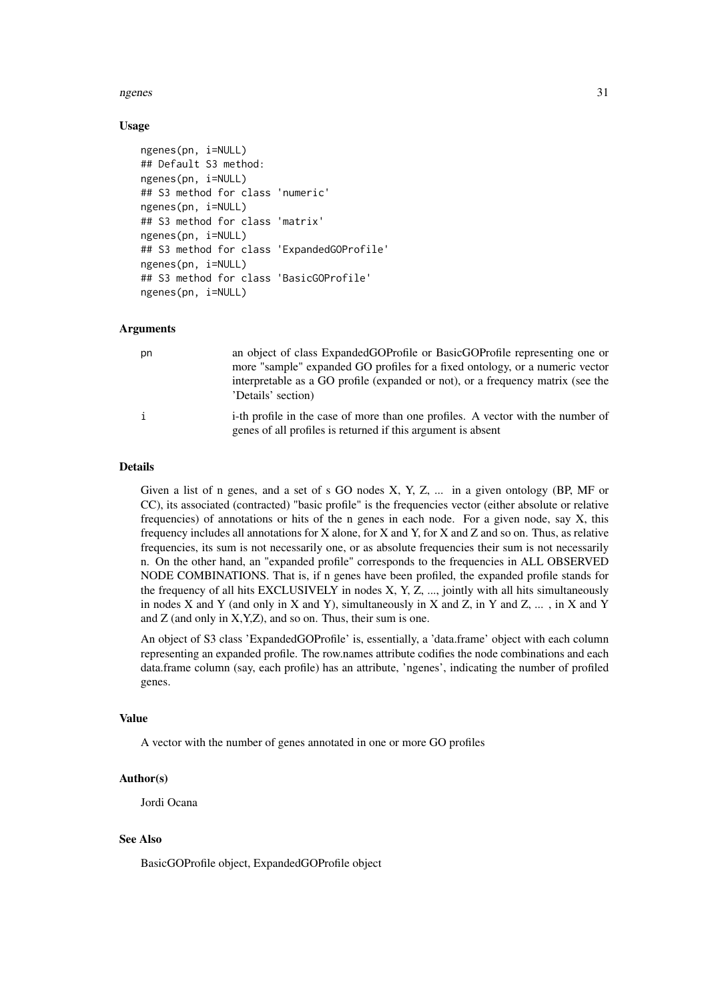#### ngenes 31

#### Usage

```
ngenes(pn, i=NULL)
## Default S3 method:
ngenes(pn, i=NULL)
## S3 method for class 'numeric'
ngenes(pn, i=NULL)
## S3 method for class 'matrix'
ngenes(pn, i=NULL)
## S3 method for class 'ExpandedGOProfile'
ngenes(pn, i=NULL)
## S3 method for class 'BasicGOProfile'
ngenes(pn, i=NULL)
```
#### Arguments

| рn | an object of class ExpandedGOProfile or BasicGOProfile representing one or                                                                      |
|----|-------------------------------------------------------------------------------------------------------------------------------------------------|
|    | more "sample" expanded GO profiles for a fixed ontology, or a numeric vector                                                                    |
|    | interpretable as a GO profile (expanded or not), or a frequency matrix (see the<br>'Details' section)                                           |
| i  | i-th profile in the case of more than one profiles. A vector with the number of<br>genes of all profiles is returned if this argument is absent |

## Details

Given a list of n genes, and a set of s GO nodes X, Y, Z, ... in a given ontology (BP, MF or CC), its associated (contracted) "basic profile" is the frequencies vector (either absolute or relative frequencies) of annotations or hits of the n genes in each node. For a given node, say X, this frequency includes all annotations for X alone, for X and Y, for X and Z and so on. Thus, as relative frequencies, its sum is not necessarily one, or as absolute frequencies their sum is not necessarily n. On the other hand, an "expanded profile" corresponds to the frequencies in ALL OBSERVED NODE COMBINATIONS. That is, if n genes have been profiled, the expanded profile stands for the frequency of all hits EXCLUSIVELY in nodes X, Y, Z, ..., jointly with all hits simultaneously in nodes X and Y (and only in X and Y), simultaneously in X and Z, in Y and Z, ... , in X and Y and  $Z$  (and only in  $X, Y, Z$ ), and so on. Thus, their sum is one.

An object of S3 class 'ExpandedGOProfile' is, essentially, a 'data.frame' object with each column representing an expanded profile. The row.names attribute codifies the node combinations and each data.frame column (say, each profile) has an attribute, 'ngenes', indicating the number of profiled genes.

## Value

A vector with the number of genes annotated in one or more GO profiles

## Author(s)

Jordi Ocana

## See Also

BasicGOProfile object, ExpandedGOProfile object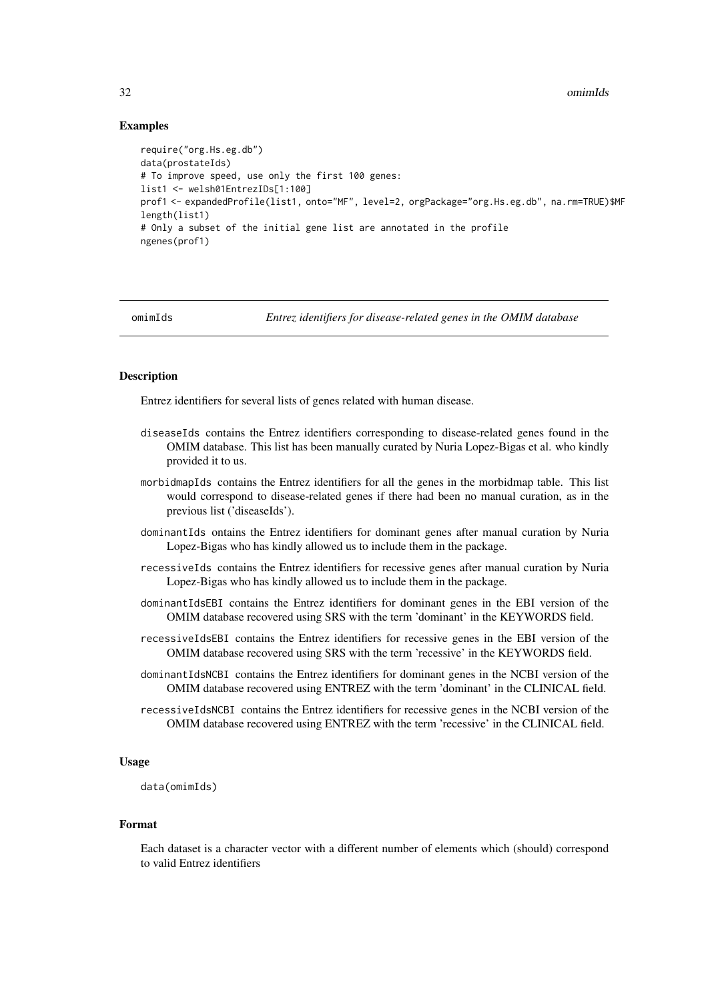#### Examples

```
require("org.Hs.eg.db")
data(prostateIds)
# To improve speed, use only the first 100 genes:
list1 <- welsh01EntrezIDs[1:100]
prof1 <- expandedProfile(list1, onto="MF", level=2, orgPackage="org.Hs.eg.db", na.rm=TRUE)$MF
length(list1)
# Only a subset of the initial gene list are annotated in the profile
ngenes(prof1)
```
omimIds *Entrez identifiers for disease-related genes in the OMIM database*

#### **Description**

Entrez identifiers for several lists of genes related with human disease.

- diseaseIds contains the Entrez identifiers corresponding to disease-related genes found in the OMIM database. This list has been manually curated by Nuria Lopez-Bigas et al. who kindly provided it to us.
- morbidmapIds contains the Entrez identifiers for all the genes in the morbidmap table. This list would correspond to disease-related genes if there had been no manual curation, as in the previous list ('diseaseIds').
- dominantIds ontains the Entrez identifiers for dominant genes after manual curation by Nuria Lopez-Bigas who has kindly allowed us to include them in the package.
- recessiveIds contains the Entrez identifiers for recessive genes after manual curation by Nuria Lopez-Bigas who has kindly allowed us to include them in the package.
- dominantIdsEBI contains the Entrez identifiers for dominant genes in the EBI version of the OMIM database recovered using SRS with the term 'dominant' in the KEYWORDS field.
- recessiveIdsEBI contains the Entrez identifiers for recessive genes in the EBI version of the OMIM database recovered using SRS with the term 'recessive' in the KEYWORDS field.
- dominantIdsNCBI contains the Entrez identifiers for dominant genes in the NCBI version of the OMIM database recovered using ENTREZ with the term 'dominant' in the CLINICAL field.
- recessiveIdsNCBI contains the Entrez identifiers for recessive genes in the NCBI version of the OMIM database recovered using ENTREZ with the term 'recessive' in the CLINICAL field.

#### Usage

data(omimIds)

#### Format

Each dataset is a character vector with a different number of elements which (should) correspond to valid Entrez identifiers

<span id="page-31-0"></span>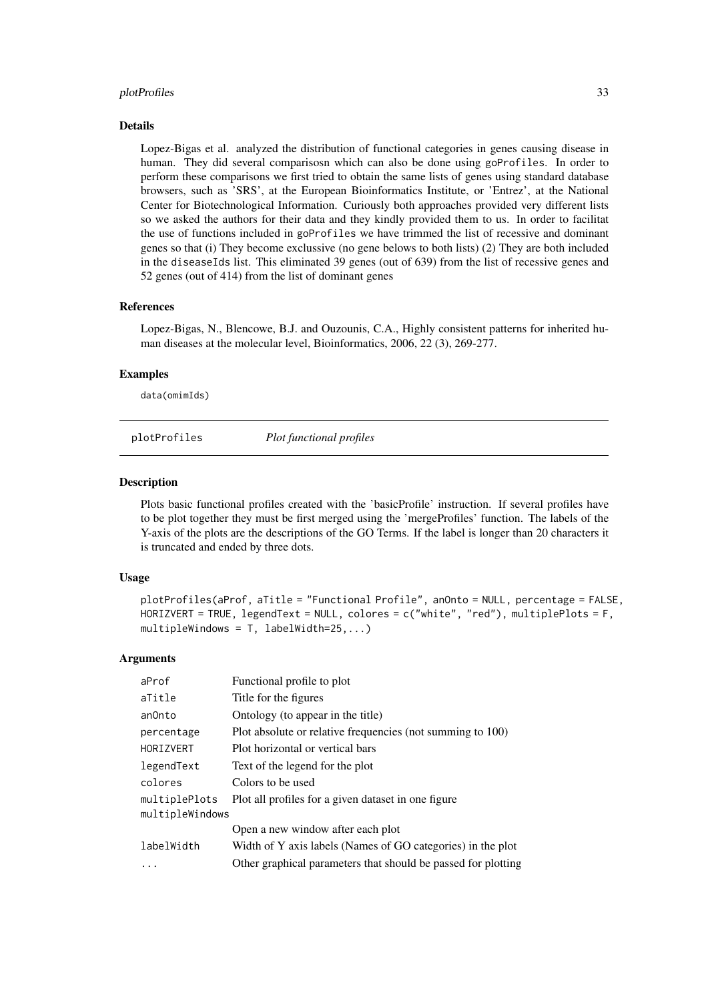#### <span id="page-32-0"></span>plotProfiles 33

#### Details

Lopez-Bigas et al. analyzed the distribution of functional categories in genes causing disease in human. They did several comparisosn which can also be done using goProfiles. In order to perform these comparisons we first tried to obtain the same lists of genes using standard database browsers, such as 'SRS', at the European Bioinformatics Institute, or 'Entrez', at the National Center for Biotechnological Information. Curiously both approaches provided very different lists so we asked the authors for their data and they kindly provided them to us. In order to facilitat the use of functions included in goProfiles we have trimmed the list of recessive and dominant genes so that (i) They become exclussive (no gene belows to both lists) (2) They are both included in the diseaseIds list. This eliminated 39 genes (out of 639) from the list of recessive genes and 52 genes (out of 414) from the list of dominant genes

## References

Lopez-Bigas, N., Blencowe, B.J. and Ouzounis, C.A., Highly consistent patterns for inherited human diseases at the molecular level, Bioinformatics, 2006, 22 (3), 269-277.

#### Examples

data(omimIds)

plotProfiles *Plot functional profiles*

#### Description

Plots basic functional profiles created with the 'basicProfile' instruction. If several profiles have to be plot together they must be first merged using the 'mergeProfiles' function. The labels of the Y-axis of the plots are the descriptions of the GO Terms. If the label is longer than 20 characters it is truncated and ended by three dots.

## Usage

```
plotProfiles(aProf, aTitle = "Functional Profile", anOnto = NULL, percentage = FALSE,
HORIZVERT = TRUE, legendText = NULL, colores = c("white", "red"), multiplePlots = F,
multipleWindows = T, labelWidth=25,...)
```

| aProf           | Functional profile to plot                                    |
|-----------------|---------------------------------------------------------------|
| aTitle          | Title for the figures                                         |
| anOnto          | Ontology (to appear in the title)                             |
| percentage      | Plot absolute or relative frequencies (not summing to 100)    |
| HORIZVERT       | Plot horizontal or vertical bars                              |
| legendText      | Text of the legend for the plot                               |
| colores         | Colors to be used                                             |
| multiplePlots   | Plot all profiles for a given dataset in one figure           |
| multipleWindows |                                                               |
|                 | Open a new window after each plot                             |
| labelWidth      | Width of Y axis labels (Names of GO categories) in the plot   |
|                 | Other graphical parameters that should be passed for plotting |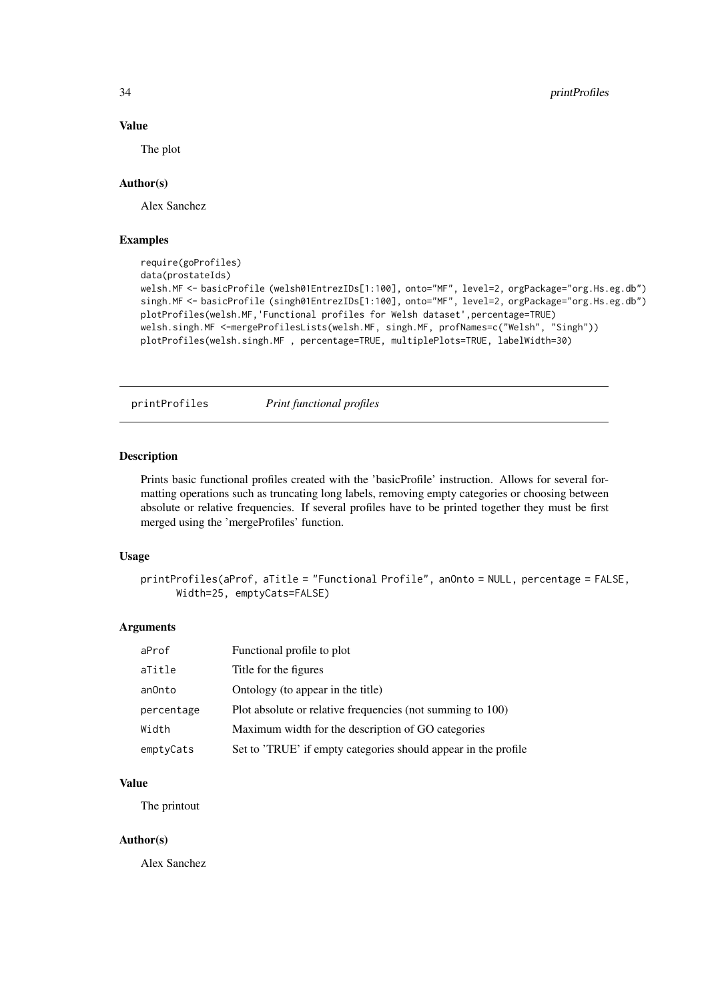## Value

The plot

#### Author(s)

Alex Sanchez

## Examples

```
require(goProfiles)
data(prostateIds)
welsh.MF <- basicProfile (welsh01EntrezIDs[1:100], onto="MF", level=2, orgPackage="org.Hs.eg.db")
singh.MF <- basicProfile (singh01EntrezIDs[1:100], onto="MF", level=2, orgPackage="org.Hs.eg.db")
plotProfiles(welsh.MF,'Functional profiles for Welsh dataset',percentage=TRUE)
welsh.singh.MF <-mergeProfilesLists(welsh.MF, singh.MF, profNames=c("Welsh", "Singh"))
plotProfiles(welsh.singh.MF , percentage=TRUE, multiplePlots=TRUE, labelWidth=30)
```
printProfiles *Print functional profiles*

#### Description

Prints basic functional profiles created with the 'basicProfile' instruction. Allows for several formatting operations such as truncating long labels, removing empty categories or choosing between absolute or relative frequencies. If several profiles have to be printed together they must be first merged using the 'mergeProfiles' function.

#### Usage

```
printProfiles(aProf, aTitle = "Functional Profile", anOnto = NULL, percentage = FALSE,
      Width=25, emptyCats=FALSE)
```
#### Arguments

| aProf      | Functional profile to plot                                     |
|------------|----------------------------------------------------------------|
| aTitle     | Title for the figures                                          |
| anOnto     | Ontology (to appear in the title)                              |
| percentage | Plot absolute or relative frequencies (not summing to 100)     |
| Width      | Maximum width for the description of GO categories             |
| emptyCats  | Set to 'TRUE' if empty categories should appear in the profile |

## Value

The printout

## Author(s)

Alex Sanchez

<span id="page-33-0"></span>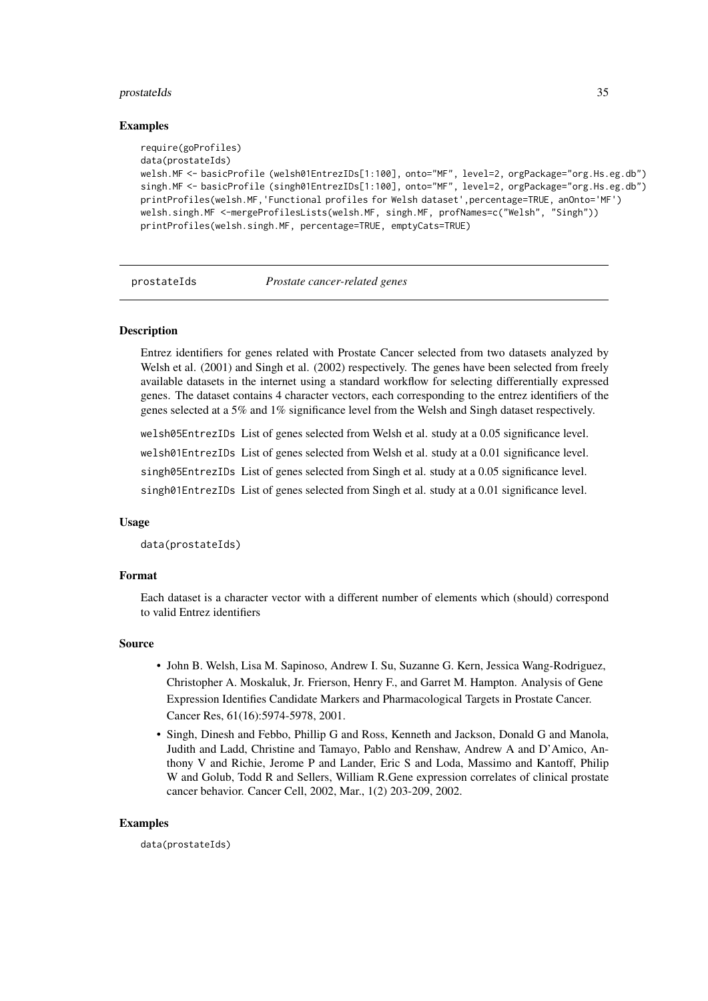#### <span id="page-34-0"></span>prostateIds 35

#### Examples

```
require(goProfiles)
data(prostateIds)
welsh.MF <- basicProfile (welsh01EntrezIDs[1:100], onto="MF", level=2, orgPackage="org.Hs.eg.db")
singh.MF <- basicProfile (singh01EntrezIDs[1:100], onto="MF", level=2, orgPackage="org.Hs.eg.db")
printProfiles(welsh.MF,'Functional profiles for Welsh dataset',percentage=TRUE, anOnto='MF')
welsh.singh.MF <-mergeProfilesLists(welsh.MF, singh.MF, profNames=c("Welsh", "Singh"))
printProfiles(welsh.singh.MF, percentage=TRUE, emptyCats=TRUE)
```
prostateIds *Prostate cancer-related genes*

## Description

Entrez identifiers for genes related with Prostate Cancer selected from two datasets analyzed by Welsh et al. (2001) and Singh et al. (2002) respectively. The genes have been selected from freely available datasets in the internet using a standard workflow for selecting differentially expressed genes. The dataset contains 4 character vectors, each corresponding to the entrez identifiers of the genes selected at a 5% and 1% significance level from the Welsh and Singh dataset respectively.

welsh05EntrezIDs List of genes selected from Welsh et al. study at a 0.05 significance level.

welsh01EntrezIDs List of genes selected from Welsh et al. study at a 0.01 significance level.

singh05EntrezIDs List of genes selected from Singh et al. study at a 0.05 significance level.

singh01EntrezIDs List of genes selected from Singh et al. study at a 0.01 significance level.

#### Usage

data(prostateIds)

#### Format

Each dataset is a character vector with a different number of elements which (should) correspond to valid Entrez identifiers

#### Source

- John B. Welsh, Lisa M. Sapinoso, Andrew I. Su, Suzanne G. Kern, Jessica Wang-Rodriguez, Christopher A. Moskaluk, Jr. Frierson, Henry F., and Garret M. Hampton. Analysis of Gene Expression Identifies Candidate Markers and Pharmacological Targets in Prostate Cancer. Cancer Res, 61(16):5974-5978, 2001.
- Singh, Dinesh and Febbo, Phillip G and Ross, Kenneth and Jackson, Donald G and Manola, Judith and Ladd, Christine and Tamayo, Pablo and Renshaw, Andrew A and D'Amico, Anthony V and Richie, Jerome P and Lander, Eric S and Loda, Massimo and Kantoff, Philip W and Golub, Todd R and Sellers, William R.Gene expression correlates of clinical prostate cancer behavior. Cancer Cell, 2002, Mar., 1(2) 203-209, 2002.

#### Examples

data(prostateIds)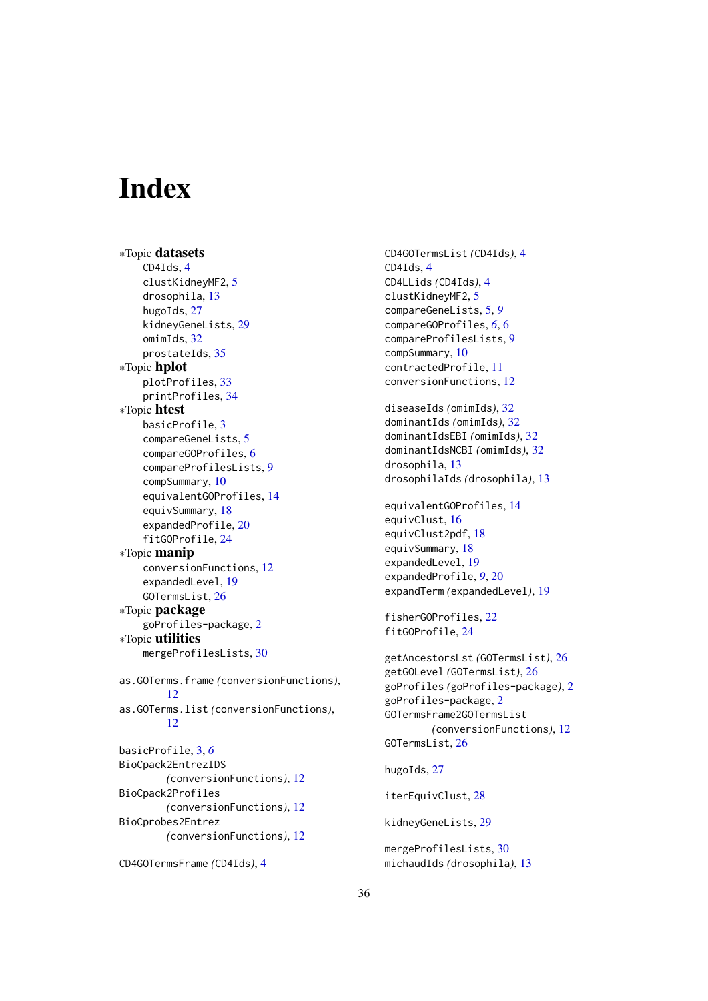# <span id="page-35-0"></span>Index

∗Topic datasets CD4Ids, [4](#page-3-0) clustKidneyMF2, [5](#page-4-0) drosophila, [13](#page-12-0) hugoIds, [27](#page-26-0) kidneyGeneLists, [29](#page-28-0) omimIds, [32](#page-31-0) prostateIds, [35](#page-34-0) ∗Topic hplot plotProfiles, [33](#page-32-0) printProfiles, [34](#page-33-0) ∗Topic htest basicProfile, [3](#page-2-0) compareGeneLists, [5](#page-4-0) compareGOProfiles, [6](#page-5-0) compareProfilesLists, [9](#page-8-0) compSummary, [10](#page-9-0) equivalentGOProfiles, [14](#page-13-0) equivSummary, [18](#page-17-0) expandedProfile, [20](#page-19-0) fitGOProfile, [24](#page-23-0) ∗Topic manip conversionFunctions, [12](#page-11-0) expandedLevel, [19](#page-18-0) GOTermsList, [26](#page-25-0) ∗Topic package goProfiles-package, [2](#page-1-0) ∗Topic utilities mergeProfilesLists, [30](#page-29-0) as.GOTerms.frame *(*conversionFunctions*)*, [12](#page-11-0) as.GOTerms.list *(*conversionFunctions*)*, [12](#page-11-0) basicProfile, [3,](#page-2-0) *[6](#page-5-0)* BioCpack2EntrezIDS *(*conversionFunctions*)*, [12](#page-11-0) BioCpack2Profiles *(*conversionFunctions*)*, [12](#page-11-0) BioCprobes2Entrez *(*conversionFunctions*)*, [12](#page-11-0)

```
CD4GOTermsFrame (CD4Ids), 4
```
CD4GOTermsList *(*CD4Ids*)*, [4](#page-3-0) CD4Ids, [4](#page-3-0) CD4LLids *(*CD4Ids*)*, [4](#page-3-0) clustKidneyMF2, [5](#page-4-0) compareGeneLists, [5,](#page-4-0) *[9](#page-8-0)* compareGOProfiles, *[6](#page-5-0)*, [6](#page-5-0) compareProfilesLists, [9](#page-8-0) compSummary, [10](#page-9-0) contractedProfile, [11](#page-10-0) conversionFunctions, [12](#page-11-0) diseaseIds *(*omimIds*)*, [32](#page-31-0) dominantIds *(*omimIds*)*, [32](#page-31-0) dominantIdsEBI *(*omimIds*)*, [32](#page-31-0) dominantIdsNCBI *(*omimIds*)*, [32](#page-31-0) drosophila, [13](#page-12-0) drosophilaIds *(*drosophila*)*, [13](#page-12-0) equivalentGOProfiles, [14](#page-13-0) equivClust, [16](#page-15-0) equivClust2pdf, [18](#page-17-0) equivSummary, [18](#page-17-0) expandedLevel, [19](#page-18-0) expandedProfile, *[9](#page-8-0)*, [20](#page-19-0) expandTerm *(*expandedLevel*)*, [19](#page-18-0) fisherGOProfiles, [22](#page-21-0) fitGOProfile, [24](#page-23-0) getAncestorsLst *(*GOTermsList*)*, [26](#page-25-0) getGOLevel *(*GOTermsList*)*, [26](#page-25-0) goProfiles *(*goProfiles-package*)*, [2](#page-1-0) goProfiles-package, [2](#page-1-0) GOTermsFrame2GOTermsList *(*conversionFunctions*)*, [12](#page-11-0) GOTermsList, [26](#page-25-0) hugoIds, [27](#page-26-0) iterEquivClust, [28](#page-27-0) kidneyGeneLists, [29](#page-28-0)

mergeProfilesLists, [30](#page-29-0) michaudIds *(*drosophila*)*, [13](#page-12-0)